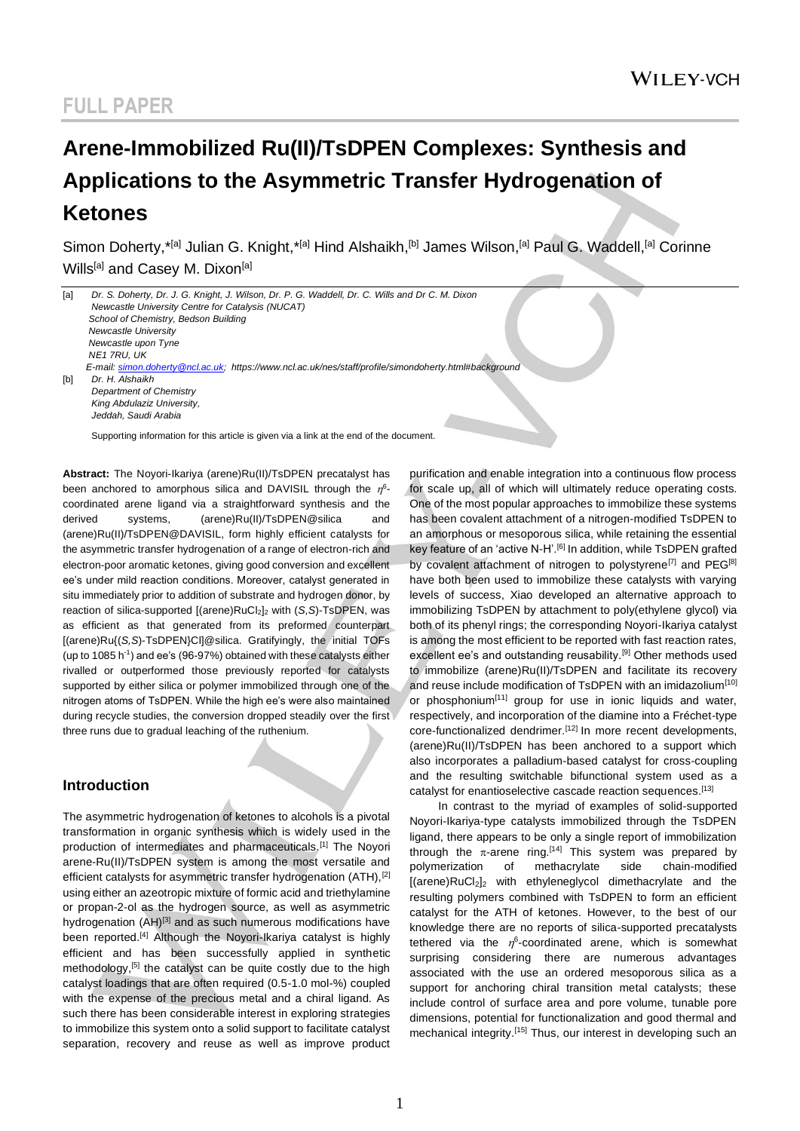# **Arene-Immobilized Ru(II)/TsDPEN Complexes: Synthesis and Applications to the Asymmetric Transfer Hydrogenation of Ketones**

Simon Doherty,\*<sup>[a]</sup> Julian G. Knight,\*<sup>[a]</sup> Hind Alshaikh,<sup>[b]</sup> James Wilson,<sup>[a]</sup> Paul G. Waddell,<sup>[a]</sup> Corinne Wills<sup>[a]</sup> and Casey M. Dixon<sup>[a]</sup>

| [a] | Dr. S. Doherty, Dr. J. G. Knight, J. Wilson, Dr. P. G. Waddell, Dr. C. Wills and Dr C. M. Dixon<br>Newcastle University Centre for Catalysis (NUCAT) |
|-----|------------------------------------------------------------------------------------------------------------------------------------------------------|
|     | School of Chemistry, Bedson Building                                                                                                                 |
|     | Newcastle University                                                                                                                                 |
|     | Newcastle upon Tyne                                                                                                                                  |
|     | <b>NE1 7RU. UK</b>                                                                                                                                   |
|     | E-mail: simon.doherty@ncl.ac.uk; https://www.ncl.ac.uk/nes/staff/profile/simondoherty.html#background                                                |
| [b] | Dr. H. Alshaikh                                                                                                                                      |
|     | Department of Chemistry                                                                                                                              |
|     | King Abdulaziz University,                                                                                                                           |
|     | Jeddah. Saudi Arabia                                                                                                                                 |

Supporting information for this article is given via a link at the end of the document.

**Abstract:** The Noyori-Ikariya (arene)Ru(II)/TsDPEN precatalyst has been anchored to amorphous silica and DAVISIL through the  $\eta^6$ coordinated arene ligand via a straightforward synthesis and the derived systems, (arene)Ru(II)/TsDPEN@silica and (arene)Ru(II)/TsDPEN@DAVISIL, form highly efficient catalysts for the asymmetric transfer hydrogenation of a range of electron-rich and electron-poor aromatic ketones, giving good conversion and excellent ee's under mild reaction conditions. Moreover, catalyst generated in situ immediately prior to addition of substrate and hydrogen donor, by reaction of silica-supported [(arene)RuCl<sub>2</sub>]<sub>2</sub> with (*S,S*)-TsDPEN, was as efficient as that generated from its preformed counterpart [(arene)Ru{(*S,S*)-TsDPEN}Cl]@silica. Gratifyingly, the initial TOFs (up to 1085 h-1 ) and ee's (96-97%) obtained with these catalysts either rivalled or outperformed those previously reported for catalysts supported by either silica or polymer immobilized through one of the nitrogen atoms of TsDPEN. While the high ee's were also maintained during recycle studies, the conversion dropped steadily over the first three runs due to gradual leaching of the ruthenium.

## **Introduction**

The asymmetric hydrogenation of ketones to alcohols is a pivotal transformation in organic synthesis which is widely used in the production of intermediates and pharmaceuticals.[1] The Noyori arene-Ru(II)/TsDPEN system is among the most versatile and efficient catalysts for asymmetric transfer hydrogenation (ATH),<sup>[2]</sup> using either an azeotropic mixture of formic acid and triethylamine or propan-2-ol as the hydrogen source, as well as asymmetric hydrogenation  $(AH)^{[3]}$  and as such numerous modifications have been reported.<sup>[4]</sup> Although the Noyori-Ikariya catalyst is highly efficient and has been successfully applied in synthetic methodology,<sup>[5]</sup> the catalyst can be quite costly due to the high catalyst loadings that are often required (0.5-1.0 mol-%) coupled with the expense of the precious metal and a chiral ligand. As such there has been considerable interest in exploring strategies to immobilize this system onto a solid support to facilitate catalyst separation, recovery and reuse as well as improve product

purification and enable integration into a continuous flow process for scale up, all of which will ultimately reduce operating costs. One of the most popular approaches to immobilize these systems has been covalent attachment of a nitrogen-modified TsDPEN to an amorphous or mesoporous silica, while retaining the essential key feature of an 'active N-H'.<sup>[6]</sup> In addition, while TsDPEN grafted by covalent attachment of nitrogen to polystyrene<sup>[7]</sup> and PEG<sup>[8]</sup> have both been used to immobilize these catalysts with varying levels of success, Xiao developed an alternative approach to immobilizing TsDPEN by attachment to poly(ethylene glycol) via both of its phenyl rings; the corresponding Noyori-Ikariya catalyst is among the most efficient to be reported with fast reaction rates, excellent ee's and outstanding reusability.<sup>[9]</sup> Other methods used to immobilize (arene)Ru(II)/TsDPEN and facilitate its recovery and reuse include modification of TsDPEN with an imidazolium<sup>[10]</sup> or phosphonium<sup>[11]</sup> group for use in ionic liquids and water, respectively, and incorporation of the diamine into a Fréchet-type core-functionalized dendrimer.<sup>[12]</sup> In more recent developments, (arene)Ru(II)/TsDPEN has been anchored to a support which also incorporates a palladium-based catalyst for cross-coupling and the resulting switchable bifunctional system used as a catalyst for enantioselective cascade reaction sequences.[13]

In contrast to the myriad of examples of solid-supported Noyori-Ikariya-type catalysts immobilized through the TsDPEN ligand, there appears to be only a single report of immobilization through the  $\pi$ -arene ring.<sup>[14]</sup> This system was prepared by polymerization of methacrylate side chain-modified  $[(\text{arene})\text{RuCl}_2]_2$  with ethyleneglycol dimethacrylate and the resulting polymers combined with TsDPEN to form an efficient catalyst for the ATH of ketones. However, to the best of our knowledge there are no reports of silica-supported precatalysts tethered via the  $\eta^6$ -coordinated arene, which is somewhat surprising considering there are numerous advantages associated with the use an ordered mesoporous silica as a support for anchoring chiral transition metal catalysts; these include control of surface area and pore volume, tunable pore dimensions, potential for functionalization and good thermal and mechanical integrity.<sup>[15]</sup> Thus, our interest in developing such an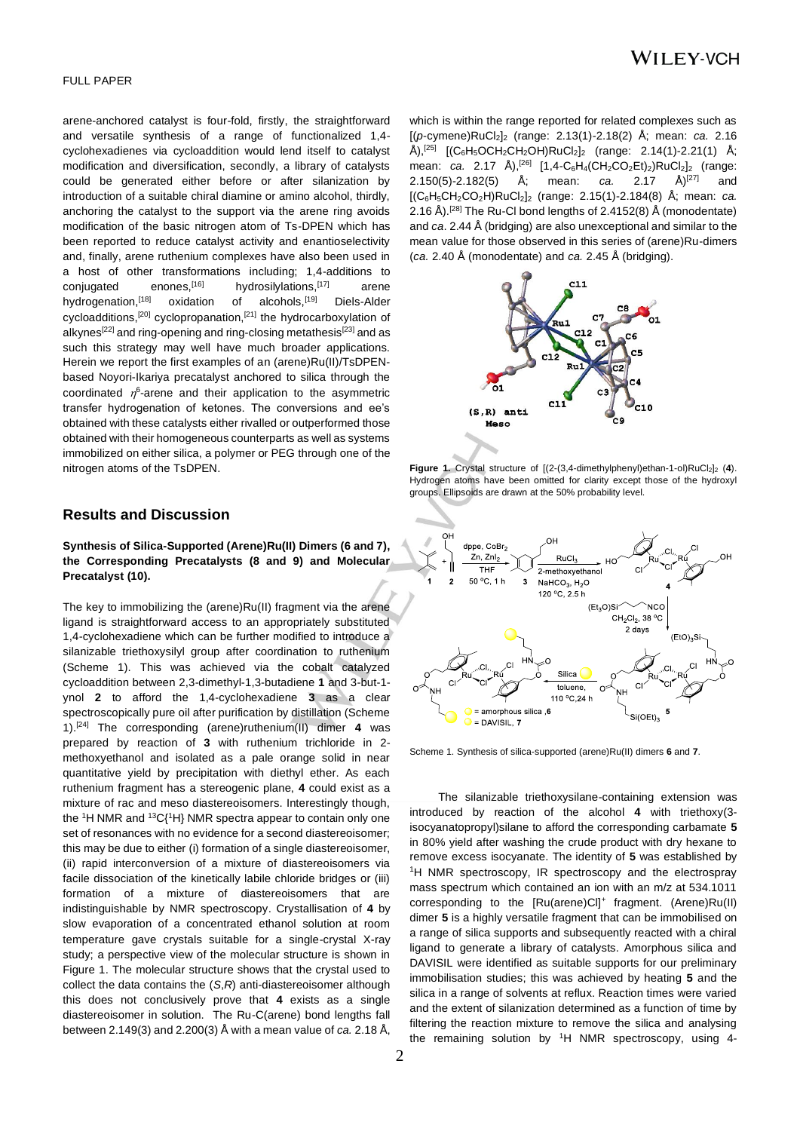#### FULL PAPER

arene-anchored catalyst is four-fold, firstly, the straightforward and versatile synthesis of a range of functionalized 1,4 cyclohexadienes via cycloaddition would lend itself to catalyst modification and diversification, secondly, a library of catalysts could be generated either before or after silanization by introduction of a suitable chiral diamine or amino alcohol, thirdly, anchoring the catalyst to the support via the arene ring avoids modification of the basic nitrogen atom of Ts-DPEN which has been reported to reduce catalyst activity and enantioselectivity and, finally, arene ruthenium complexes have also been used in a host of other transformations including; 1,4-additions to conjugated enones,  $[16]$  hydrosilylations,  $[17]$  arene hydrogenation,<sup>[18]</sup> oxidation of alcohols,<sup>[19]</sup> Diels-Alder cycloadditions,<sup>[20]</sup> cyclopropanation,<sup>[21]</sup> the hydrocarboxylation of alkynes<sup>[22]</sup> and ring-opening and ring-closing metathesis<sup>[23]</sup> and as such this strategy may well have much broader applications. Herein we report the first examples of an (arene)Ru(II)/TsDPENbased Noyori-Ikariya precatalyst anchored to silica through the coordinated  $\eta^6$ -arene and their application to the asymmetric transfer hydrogenation of ketones. The conversions and ee's obtained with these catalysts either rivalled or outperformed those obtained with their homogeneous counterparts as well as systems immobilized on either silica, a polymer or PEG through one of the nitrogen atoms of the TsDPEN.

## **Results and Discussion**

#### **Synthesis of Silica-Supported (Arene)Ru(II) Dimers (6 and 7), the Corresponding Precatalysts (8 and 9) and Molecular Precatalyst (10).**

The key to immobilizing the (arene)Ru(II) fragment via the arene ligand is straightforward access to an appropriately substituted 1,4-cyclohexadiene which can be further modified to introduce a silanizable triethoxysilyl group after coordination to ruthenium (Scheme 1). This was achieved via the cobalt catalyzed cycloaddition between 2,3-dimethyl-1,3-butadiene **1** and 3-but-1 ynol **2** to afford the 1,4-cyclohexadiene **3** as a clear spectroscopically pure oil after purification by distillation (Scheme 1).[24] The corresponding (arene)ruthenium(II) dimer **4** was prepared by reaction of **3** with ruthenium trichloride in 2 methoxyethanol and isolated as a pale orange solid in near quantitative yield by precipitation with diethyl ether. As each ruthenium fragment has a stereogenic plane, **4** could exist as a mixture of rac and meso diastereoisomers. Interestingly though, the <sup>1</sup>H NMR and <sup>13</sup>C{<sup>1</sup>H} NMR spectra appear to contain only one set of resonances with no evidence for a second diastereoisomer; this may be due to either (i) formation of a single diastereoisomer, (ii) rapid interconversion of a mixture of diastereoisomers via facile dissociation of the kinetically labile chloride bridges or (iii) formation of a mixture of diastereoisomers that are indistinguishable by NMR spectroscopy. Crystallisation of **4** by slow evaporation of a concentrated ethanol solution at room temperature gave crystals suitable for a single-crystal X-ray study; a perspective view of the molecular structure is shown in Figure 1. The molecular structure shows that the crystal used to collect the data contains the (*S*,*R*) anti-diastereoisomer although this does not conclusively prove that **4** exists as a single diastereoisomer in solution. The Ru-C(arene) bond lengths fall between 2.149(3) and 2.200(3) Å with a mean value of *ca.* 2.18 Å,

which is within the range reported for related complexes such as [(*p*-cymene)RuCl2]<sup>2</sup> (range: 2.13(1)-2.18(2) Å; mean: *ca.* 2.16  $\rm \AA$ ),<sup>[25]</sup> [(C<sub>6</sub>H<sub>5</sub>OCH<sub>2</sub>CH<sub>2</sub>OH)RuCl<sub>2</sub>]<sub>2</sub> (range: 2.14(1)-2.21(1)  $\rm \AA$ ; mean: *ca.* 2.17 Å),<sup>[26]</sup> [1,4-C<sub>6</sub>H<sub>4</sub>(CH<sub>2</sub>CO<sub>2</sub>Et)<sub>2</sub>)RuCl<sub>2</sub>]<sub>2</sub> (range: 2.150(5)-2.182(5) Å; mean: *ca.* 2.17 Å)[27] and [(C6H5CH2CO2H)RuCl2]<sup>2</sup> (range: 2.15(1)-2.184(8) Å; mean: *ca.*  2.16 Å).<sup>[28]</sup> The Ru-CI bond lengths of 2.4152(8) Å (monodentate) and *ca*. 2.44 Å (bridging) are also unexceptional and similar to the mean value for those observed in this series of (arene)Ru-dimers (*ca.* 2.40 Å (monodentate) and *ca.* 2.45 Å (bridging).



**Figure 1.** Crystal structure of  $[(2-(3.4-dimethvlbhenvlbethan-1-0)RuCb]$ <sub>2</sub> (4). Hydrogen atoms have been omitted for clarity except those of the hydroxyl groups. Ellipsoids are drawn at the 50% probability level.



Scheme 1. Synthesis of silica-supported (arene)Ru(II) dimers **6** and **7**.

The silanizable triethoxysilane-containing extension was introduced by reaction of the alcohol **4** with triethoxy(3 isocyanatopropyl)silane to afford the corresponding carbamate **5** in 80% yield after washing the crude product with dry hexane to remove excess isocyanate. The identity of **5** was established by <sup>1</sup>H NMR spectroscopy, IR spectroscopy and the electrospray mass spectrum which contained an ion with an m/z at 534.1011 corresponding to the [Ru(arene)Cl]<sup>+</sup> fragment. (Arene)Ru(II) dimer **5** is a highly versatile fragment that can be immobilised on a range of silica supports and subsequently reacted with a chiral ligand to generate a library of catalysts. Amorphous silica and DAVISIL were identified as suitable supports for our preliminary immobilisation studies; this was achieved by heating **5** and the silica in a range of solvents at reflux. Reaction times were varied and the extent of silanization determined as a function of time by filtering the reaction mixture to remove the silica and analysing the remaining solution by  ${}^{1}H$  NMR spectroscopy, using 4-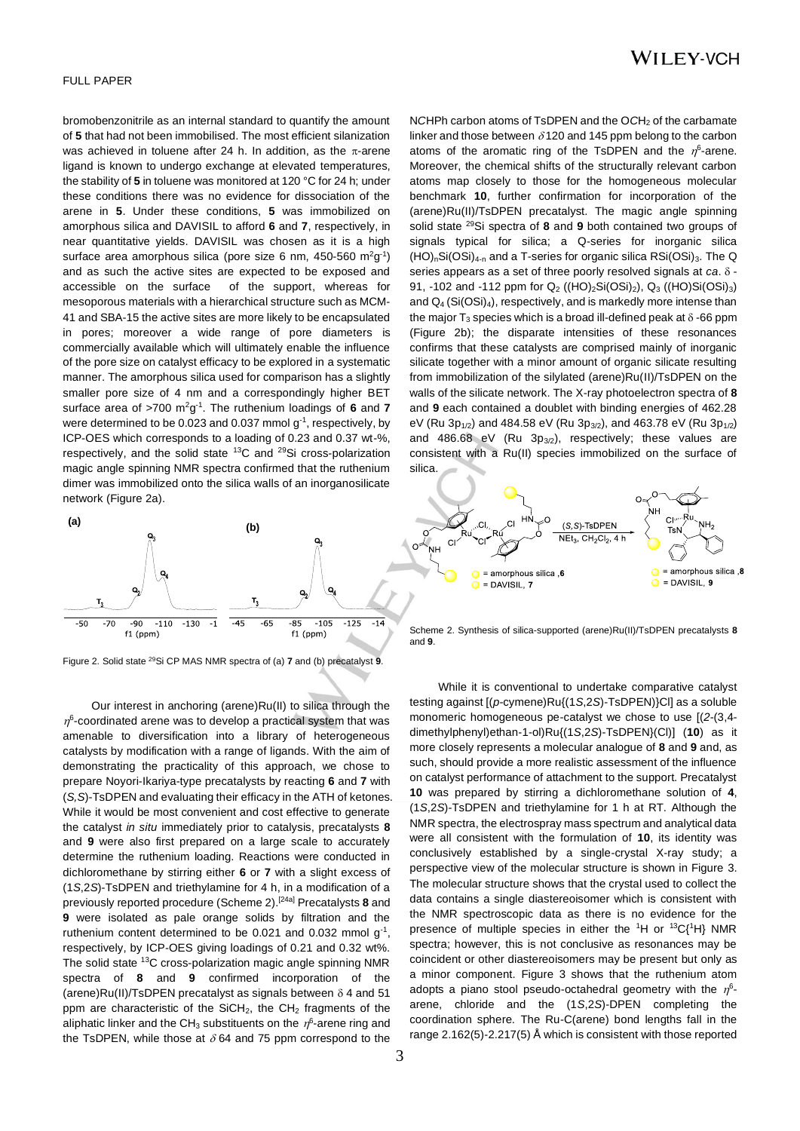$=$  amorphous silica  $\overline{\mathbf{R}}$  $\bullet$  = DAVISIL, 9

#### FULL PAPER

bromobenzonitrile as an internal standard to quantify the amount of **5** that had not been immobilised. The most efficient silanization was achieved in toluene after 24 h. In addition, as the  $\pi$ -arene ligand is known to undergo exchange at elevated temperatures, the stability of **5** in toluene was monitored at 120 °C for 24 h; under these conditions there was no evidence for dissociation of the arene in **5**. Under these conditions, **5** was immobilized on amorphous silica and DAVISIL to afford **6** and **7**, respectively, in near quantitative yields. DAVISIL was chosen as it is a high surface area amorphous silica (pore size 6 nm, 450-560 m<sup>2</sup>g<sup>-1</sup>) and as such the active sites are expected to be exposed and accessible on the surface of the support, whereas for mesoporous materials with a hierarchical structure such as MCM-41 and SBA-15 the active sites are more likely to be encapsulated in pores; moreover a wide range of pore diameters is commercially available which will ultimately enable the influence of the pore size on catalyst efficacy to be explored in a systematic manner. The amorphous silica used for comparison has a slightly smaller pore size of 4 nm and a correspondingly higher BET surface area of >700 m<sup>2</sup>g<sup>-1</sup>. The ruthenium loadings of 6 and 7 were determined to be 0.023 and 0.037 mmol  $g^{-1}$ , respectively, by ICP-OES which corresponds to a loading of 0.23 and 0.37 wt-%, respectively, and the solid state <sup>13</sup>C and <sup>29</sup>Si cross-polarization magic angle spinning NMR spectra confirmed that the ruthenium dimer was immobilized onto the silica walls of an inorganosilicate network (Figure 2a).





Figure 2. Solid state 29Si CP MAS NMR spectra of (a) **7** and (b) precatalyst **9**.

Our interest in anchoring (arene)Ru(II) to silica through the  $\eta^6$ -coordinated arene was to develop a practical system that was amenable to diversification into a library of heterogeneous catalysts by modification with a range of ligands. With the aim of demonstrating the practicality of this approach, we chose to prepare Noyori-Ikariya-type precatalysts by reacting **6** and **7** with (*S,S*)-TsDPEN and evaluating their efficacy in the ATH of ketones. While it would be most convenient and cost effective to generate the catalyst *in situ* immediately prior to catalysis, precatalysts **8** and **9** were also first prepared on a large scale to accurately determine the ruthenium loading. Reactions were conducted in dichloromethane by stirring either **6** or **7** with a slight excess of (1*S*,2*S*)-TsDPEN and triethylamine for 4 h, in a modification of a previously reported procedure (Scheme 2).[24a] Precatalysts **8** and **9** were isolated as pale orange solids by filtration and the ruthenium content determined to be 0.021 and 0.032 mmol  $g^{-1}$ , respectively, by ICP-OES giving loadings of 0.21 and 0.32 wt%. The solid state <sup>13</sup>C cross-polarization magic angle spinning NMR spectra of **8** and **9** confirmed incorporation of the (arene)Ru(II)/TsDPEN precatalyst as signals between  $\delta$  4 and 51 ppm are characteristic of the SiCH<sub>2</sub>, the CH<sub>2</sub> fragments of the aliphatic linker and the CH<sub>3</sub> substituents on the  $\eta^6$ -arene ring and the TsDPEN, while those at  $\delta$  64 and 75 ppm correspond to the

Scheme 2. Synthesis of silica-supported (arene)Ru(II)/TsDPEN precatalysts **8**  and **9**.

 $(S.S)$ -TsDPEN NEt<sub>3</sub>, CH<sub>2</sub>Cl<sub>2</sub>, 4 h

While it is conventional to undertake comparative catalyst testing against [(*p*-cymene)Ru{(1*S*,2*S*)*-*TsDPEN)}Cl] as a soluble monomeric homogeneous pe-catalyst we chose to use [(*2*-(3,4 dimethylphenyl)ethan-1-ol)Ru{(1*S*,2*S*)-TsDPEN}(Cl)] (**10**) as it more closely represents a molecular analogue of **8** and **9** and, as such, should provide a more realistic assessment of the influence on catalyst performance of attachment to the support. Precatalyst **10** was prepared by stirring a dichloromethane solution of **4**, (1*S*,2*S*)-TsDPEN and triethylamine for 1 h at RT. Although the NMR spectra, the electrospray mass spectrum and analytical data were all consistent with the formulation of **10**, its identity was conclusively established by a single-crystal X-ray study; a perspective view of the molecular structure is shown in Figure 3. The molecular structure shows that the crystal used to collect the data contains a single diastereoisomer which is consistent with the NMR spectroscopic data as there is no evidence for the presence of multiple species in either the  ${}^{1}H$  or  ${}^{13}C_{1}{}^{1}H$  NMR spectra; however, this is not conclusive as resonances may be coincident or other diastereoisomers may be present but only as a minor component. Figure 3 shows that the ruthenium atom adopts a piano stool pseudo-octahedral geometry with the  $\eta^6$ arene, chloride and the (1*S*,2*S*)-DPEN completing the coordination sphere. The Ru-C(arene) bond lengths fall in the range 2.162(5)-2.217(5) Å which is consistent with those reported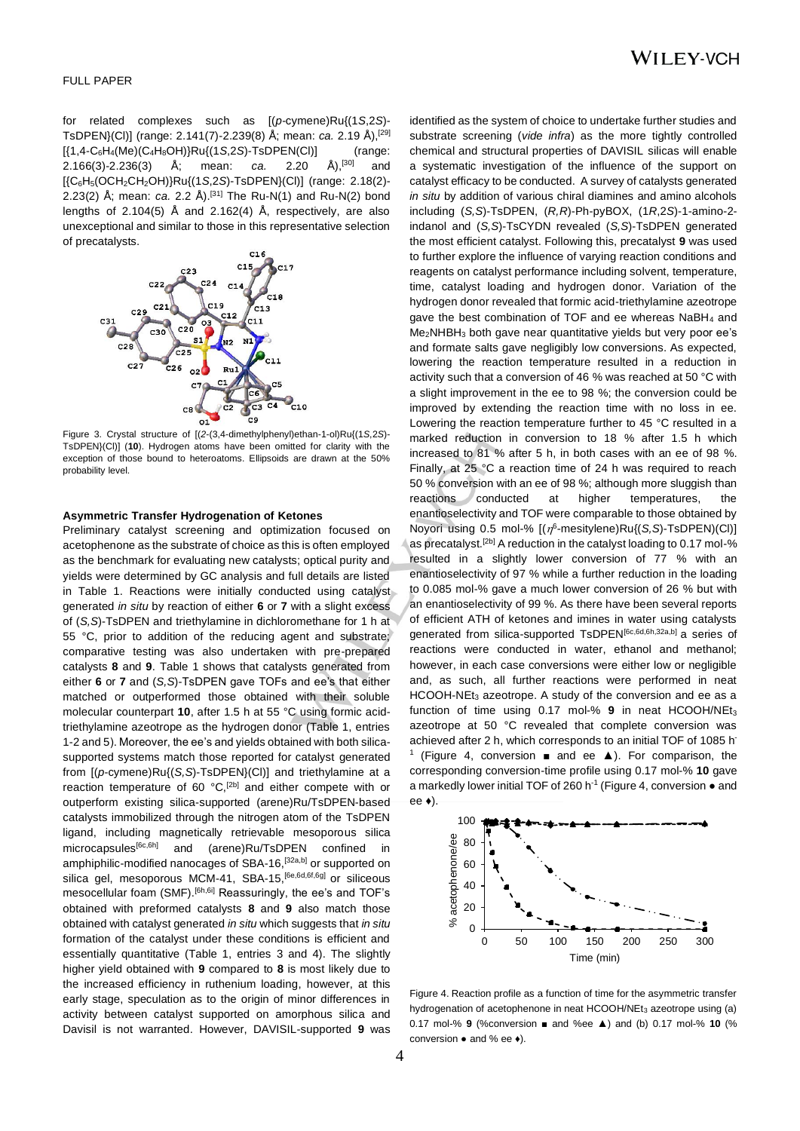for related complexes such as [(*p*-cymene)Ru{(1*S*,2*S*)- TsDPEN}(Cl)] (range: 2.141(7)-2.239(8) Å; mean: *ca.* 2.19 Å),[29] [{1,4-C6H4(Me)(C4H8OH)}Ru{(1*S*,2*S*)-TsDPEN(Cl)] (range: 2.166(3)-2.236(3) Å; mean: *ca.* 2.20 Å),[30] and [{C6H5(OCH2CH2OH)}Ru{(1*S*,2*S*)-TsDPEN}(Cl)] (range: 2.18(2)- 2.23(2) Å; mean: *ca.* 2.2 Å).[31] The Ru-N(1) and Ru-N(2) bond lengths of 2.104(5) Å and 2.162(4) Å, respectively, are also unexceptional and similar to those in this representative selection of precatalysts.



Figure 3. Crystal structure of [(*2*-(3,4-dimethylphenyl)ethan-1-ol)Ru{(1*S*,2*S*)- TsDPEN}(Cl)] (**10**). Hydrogen atoms have been omitted for clarity with the exception of those bound to heteroatoms. Ellipsoids are drawn at the 50% probability level.

#### **Asymmetric Transfer Hydrogenation of Ketones**

Preliminary catalyst screening and optimization focused on acetophenone as the substrate of choice as this is often employed as the benchmark for evaluating new catalysts; optical purity and yields were determined by GC analysis and full details are listed in Table 1. Reactions were initially conducted using catalyst generated *in situ* by reaction of either **6** or **7** with a slight excess of (*S,S*)-TsDPEN and triethylamine in dichloromethane for 1 h at 55 °C, prior to addition of the reducing agent and substrate; comparative testing was also undertaken with pre-prepared catalysts **8** and **9**. Table 1 shows that catalysts generated from either **6** or **7** and (*S,S*)-TsDPEN gave TOFs and ee's that either matched or outperformed those obtained with their soluble molecular counterpart **10**, after 1.5 h at 55 °C using formic acidtriethylamine azeotrope as the hydrogen donor (Table 1, entries 1-2 and 5). Moreover, the ee's and yields obtained with both silicasupported systems match those reported for catalyst generated from [(*p*-cymene)Ru{(*S,S*)-TsDPEN}(Cl)] and triethylamine at a reaction temperature of 60 °C,<sup>[2b]</sup> and either compete with or outperform existing silica-supported (arene)Ru/TsDPEN-based catalysts immobilized through the nitrogen atom of the TsDPEN ligand, including magnetically retrievable mesoporous silica microcapsules<sup>[6c,6h]</sup> and (arene)Ru/TsDPEN confined in amphiphilic-modified nanocages of SBA-16,<sup>[32a,b]</sup> or supported on silica gel, mesoporous MCM-41, SBA-15, <sup>[6e,6d,6f,6g]</sup> or siliceous mesocellular foam (SMF).<sup>[6h,6i]</sup> Reassuringly, the ee's and TOF's obtained with preformed catalysts **8** and **9** also match those obtained with catalyst generated *in situ* which suggests that *in situ* formation of the catalyst under these conditions is efficient and essentially quantitative (Table 1, entries 3 and 4). The slightly higher yield obtained with **9** compared to **8** is most likely due to the increased efficiency in ruthenium loading, however, at this early stage, speculation as to the origin of minor differences in activity between catalyst supported on amorphous silica and Davisil is not warranted. However, DAVISIL-supported **9** was

identified as the system of choice to undertake further studies and substrate screening (*vide infra*) as the more tightly controlled chemical and structural properties of DAVISIL silicas will enable a systematic investigation of the influence of the support on catalyst efficacy to be conducted. A survey of catalysts generated *in situ* by addition of various chiral diamines and amino alcohols including (*S,S*)-TsDPEN, (*R,R*)-Ph-pyBOX, (1*R*,2*S*)-1-amino-2 indanol and (*S,S*)-TsCYDN revealed (*S,S*)-TsDPEN generated the most efficient catalyst. Following this, precatalyst **9** was used to further explore the influence of varying reaction conditions and reagents on catalyst performance including solvent, temperature, time, catalyst loading and hydrogen donor. Variation of the hydrogen donor revealed that formic acid-triethylamine azeotrope gave the best combination of TOF and ee whereas NaBH<sup>4</sup> and  $Me<sub>2</sub>NHBH<sub>3</sub>$  both gave near quantitative yields but very poor ee's and formate salts gave negligibly low conversions. As expected, lowering the reaction temperature resulted in a reduction in activity such that a conversion of 46 % was reached at 50 °C with a slight improvement in the ee to 98 %; the conversion could be improved by extending the reaction time with no loss in ee. Lowering the reaction temperature further to 45 °C resulted in a marked reduction in conversion to 18 % after 1.5 h which increased to 81 % after 5 h, in both cases with an ee of 98 %. Finally, at 25 °C a reaction time of 24 h was required to reach 50 % conversion with an ee of 98 %; although more sluggish than reactions conducted at higher temperatures, the enantioselectivity and TOF were comparable to those obtained by Noyori using 0.5 mol-% [( $\eta^6$ -mesitylene)Ru{(S,S)-TsDPEN)(Cl)] as precatalyst.<sup>[2b]</sup> A reduction in the catalyst loading to 0.17 mol-% resulted in a slightly lower conversion of 77 % with an enantioselectivity of 97 % while a further reduction in the loading to 0.085 mol-% gave a much lower conversion of 26 % but with an enantioselectivity of 99 %. As there have been several reports of efficient ATH of ketones and imines in water using catalysts generated from silica-supported TsDPEN<sup>[6c,6d,6h,32a,b]</sup> a series of reactions were conducted in water, ethanol and methanol; however, in each case conversions were either low or negligible and, as such, all further reactions were performed in neat HCOOH-NEt<sub>3</sub> azeotrope. A study of the conversion and ee as a function of time using 0.17 mol-% **9** in neat HCOOH/NEt<sup>3</sup> azeotrope at 50 °C revealed that complete conversion was achieved after 2 h, which corresponds to an initial TOF of 1085 h 1 (Figure 4, conversion ■ and ee ▲). For comparison, the corresponding conversion-time profile using 0.17 mol-% **10** gave a markedly lower initial TOF of 260 h<sup>-1</sup> (Figure 4, conversion  $\bullet$  and ee ♦).



Figure 4. Reaction profile as a function of time for the asymmetric transfer hydrogenation of acetophenone in neat HCOOH/NEt<sub>3</sub> azeotrope using (a) 0.17 mol-% **9** (%conversion ■ and %ee ▲) and (b) 0.17 mol-% **10** (% conversion ● and % ee ♦).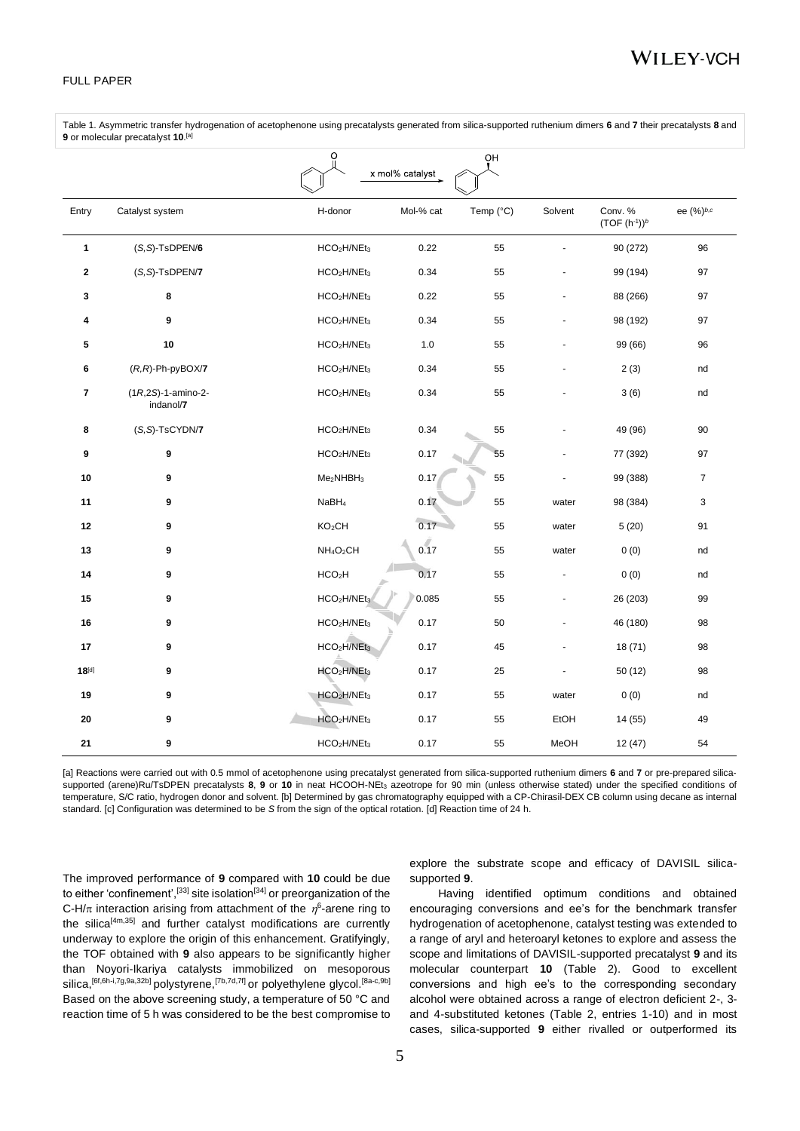Table 1. Asymmetric transfer hydrogenation of acetophenone using precatalysts generated from silica-supported ruthenium dimers **6** and **7** their precatalysts **8** and **9** or molecular precatalyst **10**. [a]

|              |                                      | O                                   |                 | ΟH        |                |                           |                |
|--------------|--------------------------------------|-------------------------------------|-----------------|-----------|----------------|---------------------------|----------------|
|              |                                      |                                     | x mol% catalyst |           |                |                           |                |
| Entry        | Catalyst system                      | H-donor                             | Mol-% cat       | Temp (°C) | Solvent        | Conv. %<br>$(TOF (h-1))b$ | ee (%)b,c      |
| $\mathbf{1}$ | $(S, S)$ -TsDPEN/6                   | HCO <sub>2</sub> H/NEt <sub>3</sub> | 0.22            | 55        |                | 90 (272)                  | 96             |
| $\mathbf{2}$ | (S,S)-TsDPEN/7                       | HCO <sub>2</sub> H/NEt <sub>3</sub> | 0.34            | 55        |                | 99 (194)                  | 97             |
| 3            | 8                                    | HCO <sub>2</sub> H/NEt <sub>3</sub> | 0.22            | 55        |                | 88 (266)                  | 97             |
| 4            | 9                                    | HCO <sub>2</sub> H/NEt <sub>3</sub> | 0.34            | 55        |                | 98 (192)                  | 97             |
| 5            | 10                                   | HCO <sub>2</sub> H/NEt <sub>3</sub> | 1.0             | 55        |                | 99 (66)                   | 96             |
| 6            | $(R, R)$ -Ph-pyBOX/7                 | HCO <sub>2</sub> H/NEt <sub>3</sub> | 0.34            | 55        |                | 2(3)                      | nd             |
| 7            | $(1R,2S) - 1$ -amino-2-<br>indanol/7 | HCO <sub>2</sub> H/NEt <sub>3</sub> | 0.34            | 55        |                | 3(6)                      | nd             |
| 8            | $(S, S)$ -TsCYDN/7                   | HCO <sub>2</sub> H/NEt <sub>3</sub> | 0.34            | 55        |                | 49 (96)                   | 90             |
| 9            | 9                                    | HCO <sub>2</sub> H/NEt <sub>3</sub> | 0.17            | 55        |                | 77 (392)                  | 97             |
| 10           | 9                                    | Me <sub>2</sub> NHBH <sub>3</sub>   | 0.17            | 55        |                | 99 (388)                  | $\overline{7}$ |
| 11           | 9                                    | NaBH <sub>4</sub>                   | 0.17            | 55        | water          | 98 (384)                  | 3              |
| 12           | 9                                    | KO <sub>2</sub> CH                  | 0.17            | 55        | water          | 5(20)                     | 91             |
| 13           | 9                                    | NH <sub>4</sub> O <sub>2</sub> CH   | 0.17            | 55        | water          | 0(0)                      | nd             |
| 14           | 9                                    | HCO <sub>2</sub> H                  | 0.17            | 55        | $\blacksquare$ | 0(0)                      | nd             |
| 15           | 9                                    | HCO <sub>2</sub> H/NEt <sub>3</sub> | 0.085           | 55        |                | 26 (203)                  | 99             |
| 16           | 9                                    | HCO <sub>2</sub> H/NEt <sub>3</sub> | 0.17            | 50        | ä,             | 46 (180)                  | 98             |
| 17           | 9                                    | HCO <sub>2</sub> H/NEt <sub>3</sub> | 0.17            | 45        |                | 18(71)                    | 98             |
| $18^{[d]}$   | 9                                    | HCO <sub>2</sub> H/NEt <sub>3</sub> | 0.17            | 25        |                | 50 (12)                   | 98             |
| 19           | 9                                    | HCO <sub>2</sub> H/NEt <sub>3</sub> | 0.17            | 55        | water          | 0(0)                      | nd             |
| 20           | 9                                    | HCO <sub>2</sub> H/NEt <sub>3</sub> | 0.17            | 55        | EtOH           | 14 (55)                   | 49             |
| 21           | 9                                    | HCO <sub>2</sub> H/NEt <sub>3</sub> | 0.17            | 55        | MeOH           | 12(47)                    | 54             |

[a] Reactions were carried out with 0.5 mmol of acetophenone using precatalyst generated from silica-supported ruthenium dimers **6** and **7** or pre-prepared silicasupported (arene)Ru/TsDPEN precatalysts 8, 9 or 10 in neat HCOOH-NEt<sub>3</sub> azeotrope for 90 min (unless otherwise stated) under the specified conditions of temperature, S/C ratio, hydrogen donor and solvent. [b] Determined by gas chromatography equipped with a CP-Chirasil-DEX CB column using decane as internal standard. [c] Configuration was determined to be *S* from the sign of the optical rotation. [d] Reaction time of 24 h.

The improved performance of **9** compared with **10** could be due to either 'confinement',<sup>[33]</sup> site isolation<sup>[34]</sup> or preorganization of the C-H/ $\pi$  interaction arising from attachment of the  $\eta^6$ -arene ring to the silica $[4m,35]$  and further catalyst modifications are currently underway to explore the origin of this enhancement. Gratifyingly, the TOF obtained with **9** also appears to be significantly higher than Noyori-Ikariya catalysts immobilized on mesoporous silica, [6f,6h-i,7g,9a,32b] polystyrene, [7b,7d,7f] or polyethylene glycol. [8a-c,9b] Based on the above screening study, a temperature of 50 °C and reaction time of 5 h was considered to be the best compromise to

explore the substrate scope and efficacy of DAVISIL silicasupported **9**.

Having identified optimum conditions and obtained encouraging conversions and ee's for the benchmark transfer hydrogenation of acetophenone, catalyst testing was extended to a range of aryl and heteroaryl ketones to explore and assess the scope and limitations of DAVISIL-supported precatalyst **9** and its molecular counterpart **10** (Table 2). Good to excellent conversions and high ee's to the corresponding secondary alcohol were obtained across a range of electron deficient 2-, 3 and 4-substituted ketones (Table 2, entries 1-10) and in most cases, silica-supported **9** either rivalled or outperformed its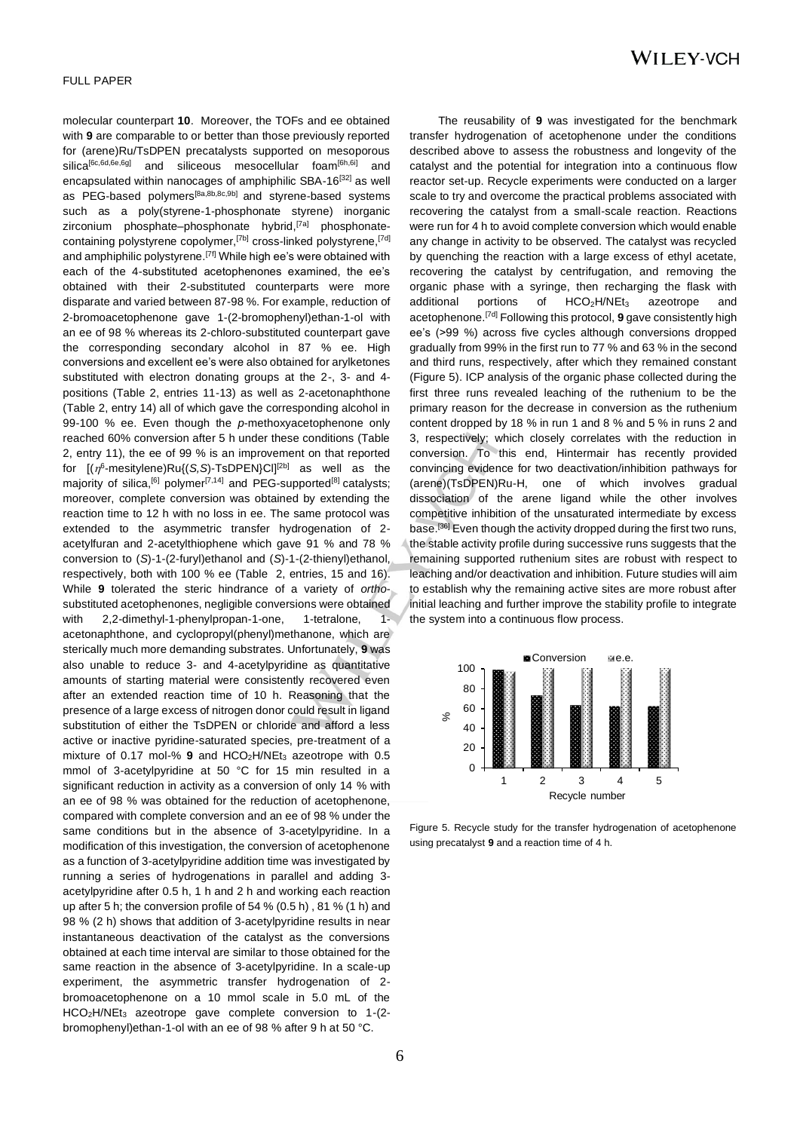molecular counterpart **10**. Moreover, the TOFs and ee obtained with **9** are comparable to or better than those previously reported for (arene)Ru/TsDPEN precatalysts supported on mesoporous silica<sup>[6c,6d,6e,6g]</sup> and siliceous mesocellular foam<sup>[6h,6i]</sup> and encapsulated within nanocages of amphiphilic SBA-1 $6^{[32]}$  as well as PEG-based polymers<sup>[8a,8b,8c,9b]</sup> and styrene-based systems such as a poly(styrene-1-phosphonate styrene) inorganic zirconium phosphate–phosphonate hybrid,<sup>[7a]</sup> phosphonatecontaining polystyrene copolymer,<sup>[7b]</sup> cross-linked polystyrene,<sup>[7d]</sup> and amphiphilic polystyrene.<sup>[7f]</sup> While high ee's were obtained with each of the 4-substituted acetophenones examined, the ee's obtained with their 2-substituted counterparts were more disparate and varied between 87-98 %. For example, reduction of 2-bromoacetophenone gave 1-(2-bromophenyl)ethan-1-ol with an ee of 98 % whereas its 2-chloro-substituted counterpart gave the corresponding secondary alcohol in 87 % ee. High conversions and excellent ee's were also obtained for arylketones substituted with electron donating groups at the 2-, 3- and 4 positions (Table 2, entries 11-13) as well as 2-acetonaphthone (Table 2, entry 14) all of which gave the corresponding alcohol in 99-100 % ee. Even though the *p*-methoxyacetophenone only reached 60% conversion after 5 h under these conditions (Table 2, entry 11), the ee of 99 % is an improvement on that reported for [( 6 -mesitylene)Ru{(*S,S*)-TsDPEN}Cl][2b] as well as the majority of silica,  $^{[6]}$  polymer<sup>[7,14]</sup> and PEG-supported<sup>[8]</sup> catalysts; moreover, complete conversion was obtained by extending the reaction time to 12 h with no loss in ee. The same protocol was extended to the asymmetric transfer hydrogenation of 2 acetylfuran and 2-acetylthiophene which gave 91 % and 78 % conversion to (*S*)-1-(2-furyl)ethanol and (*S*)-1-(2-thienyl)ethanol, respectively, both with 100 % ee (Table 2, entries, 15 and 16). While **9** tolerated the steric hindrance of a variety of *ortho*substituted acetophenones, negligible conversions were obtained with 2,2-dimethyl-1-phenylpropan-1-one, 1-tetralone, 1acetonaphthone, and cyclopropyl(phenyl)methanone, which are sterically much more demanding substrates. Unfortunately, **9** was also unable to reduce 3- and 4-acetylpyridine as quantitative amounts of starting material were consistently recovered even after an extended reaction time of 10 h. Reasoning that the presence of a large excess of nitrogen donor could result in ligand substitution of either the TsDPEN or chloride and afford a less active or inactive pyridine-saturated species, pre-treatment of a mixture of 0.17 mol-% 9 and HCO<sub>2</sub>H/NEt<sub>3</sub> azeotrope with 0.5 mmol of 3-acetylpyridine at 50 °C for 15 min resulted in a significant reduction in activity as a conversion of only 14 % with an ee of 98 % was obtained for the reduction of acetophenone, compared with complete conversion and an ee of 98 % under the same conditions but in the absence of 3-acetylpyridine. In a modification of this investigation, the conversion of acetophenone as a function of 3-acetylpyridine addition time was investigated by running a series of hydrogenations in parallel and adding 3 acetylpyridine after 0.5 h, 1 h and 2 h and working each reaction up after 5 h; the conversion profile of 54 % (0.5 h), 81 % (1 h) and 98 % (2 h) shows that addition of 3-acetylpyridine results in near instantaneous deactivation of the catalyst as the conversions obtained at each time interval are similar to those obtained for the same reaction in the absence of 3-acetylpyridine. In a scale-up experiment, the asymmetric transfer hydrogenation of 2 bromoacetophenone on a 10 mmol scale in 5.0 mL of the HCO2H/NEt<sup>3</sup> azeotrope gave complete conversion to 1-(2 bromophenyl)ethan-1-ol with an ee of 98 % after 9 h at 50 °C.

The reusability of **9** was investigated for the benchmark transfer hydrogenation of acetophenone under the conditions described above to assess the robustness and longevity of the catalyst and the potential for integration into a continuous flow reactor set-up. Recycle experiments were conducted on a larger scale to try and overcome the practical problems associated with recovering the catalyst from a small-scale reaction. Reactions were run for 4 h to avoid complete conversion which would enable any change in activity to be observed. The catalyst was recycled by quenching the reaction with a large excess of ethyl acetate, recovering the catalyst by centrifugation, and removing the organic phase with a syringe, then recharging the flask with additional portions of HCO<sub>2</sub>H/NEt<sub>3</sub> azeotrope and acetophenone.[7d] Following this protocol, **9** gave consistently high ee's (>99 %) across five cycles although conversions dropped gradually from 99% in the first run to 77 % and 63 % in the second and third runs, respectively, after which they remained constant (Figure 5). ICP analysis of the organic phase collected during the first three runs revealed leaching of the ruthenium to be the primary reason for the decrease in conversion as the ruthenium content dropped by 18 % in run 1 and 8 % and 5 % in runs 2 and 3, respectively; which closely correlates with the reduction in conversion. To this end, Hintermair has recently provided convincing evidence for two deactivation/inhibition pathways for (arene)(TsDPEN)Ru-H, one of which involves gradual dissociation of the arene ligand while the other involves competitive inhibition of the unsaturated intermediate by excess base.<sup>[36]</sup> Even though the activity dropped during the first two runs, the stable activity profile during successive runs suggests that the remaining supported ruthenium sites are robust with respect to leaching and/or deactivation and inhibition. Future studies will aim to establish why the remaining active sites are more robust after initial leaching and further improve the stability profile to integrate the system into a continuous flow process.



Figure 5. Recycle study for the transfer hydrogenation of acetophenone using precatalyst **9** and a reaction time of 4 h.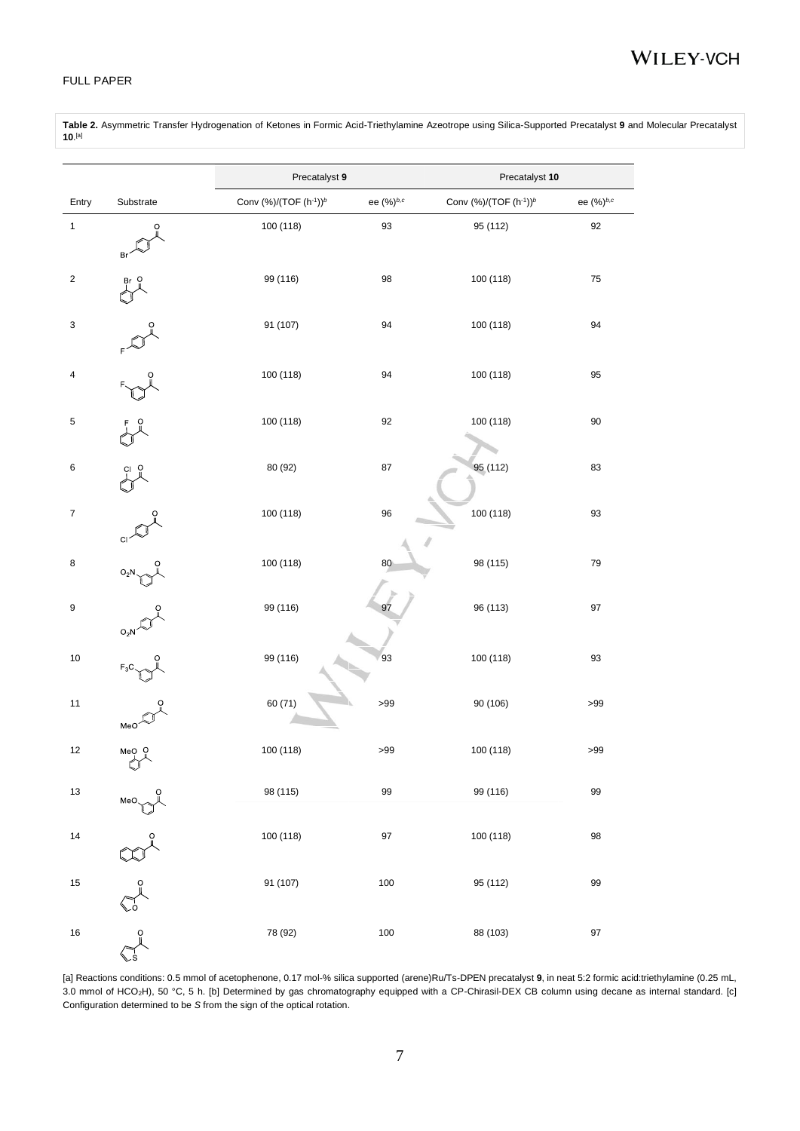#### FULL PAPER

**Table 2.** Asymmetric Transfer Hydrogenation of Ketones in Formic Acid-Triethylamine Azeotrope using Silica-Supported Precatalyst **9** and Molecular Precatalyst . [a]

|                  |                                                                                                                                                                                                                                                                                                                                              | Precatalyst 9                     |           | Precatalyst 10                    |            |  |
|------------------|----------------------------------------------------------------------------------------------------------------------------------------------------------------------------------------------------------------------------------------------------------------------------------------------------------------------------------------------|-----------------------------------|-----------|-----------------------------------|------------|--|
| Entry            | Substrate                                                                                                                                                                                                                                                                                                                                    | Conv (%)/(TOF (h-1)) <sup>b</sup> | ee (%)b,c | Conv (%)/(TOF (h-1)) <sup>b</sup> | ee (%)b,c  |  |
| $\mathbf{1}$     | Br                                                                                                                                                                                                                                                                                                                                           | 100 (118)                         | 93        | 95 (112)                          | 92         |  |
| $\boldsymbol{2}$ |                                                                                                                                                                                                                                                                                                                                              | 99 (116)                          | 98        | 100 (118)                         | ${\bf 75}$ |  |
| 3                |                                                                                                                                                                                                                                                                                                                                              | 91 (107)                          | 94        | 100 (118)                         | 94         |  |
| 4                |                                                                                                                                                                                                                                                                                                                                              | 100 (118)                         | 94        | 100 (118)                         | 95         |  |
| 5                |                                                                                                                                                                                                                                                                                                                                              | 100 (118)                         | 92        | 100 (118)                         | 90         |  |
| 6                |                                                                                                                                                                                                                                                                                                                                              | 80 (92)                           | 87        | 95 (112)                          | 83         |  |
| $\boldsymbol{7}$ | CI                                                                                                                                                                                                                                                                                                                                           | 100 (118)                         | 96        | 100 (118)                         | 93         |  |
| 8                | $O_2N$                                                                                                                                                                                                                                                                                                                                       | 100 (118)                         | 80        | 98 (115)                          | 79         |  |
| 9                | $O_2N$                                                                                                                                                                                                                                                                                                                                       | 99 (116)                          | 97        | 96 (113)                          | 97         |  |
| $10$             | $F_3C$                                                                                                                                                                                                                                                                                                                                       | 99 (116)                          | 93        | 100 (118)                         | 93         |  |
| 11               | MeO                                                                                                                                                                                                                                                                                                                                          | 60 (71)                           | >99       | 90 (106)                          | >99        |  |
| 12               | $MeO$ $Q$<br>V                                                                                                                                                                                                                                                                                                                               | 100 (118)                         | >99       | 100 (118)                         | $>\!\!99$  |  |
| $13\,$           | $\begin{picture}(180,10) \put(0,0){\line(1,0){100}} \put(15,0){\line(1,0){100}} \put(15,0){\line(1,0){100}} \put(15,0){\line(1,0){100}} \put(15,0){\line(1,0){100}} \put(15,0){\line(1,0){100}} \put(15,0){\line(1,0){100}} \put(15,0){\line(1,0){100}} \put(15,0){\line(1,0){100}} \put(15,0){\line(1,0){100}} \put(15,0){\line(1,0){100}}$ | 98 (115)                          | 99        | 99 (116)                          | 99         |  |
| $14$             |                                                                                                                                                                                                                                                                                                                                              | 100 (118)                         | 97        | 100 (118)                         | 98         |  |
| $15\,$           | $\sum_{j=0}^{\infty}\sum_{j=0}^{n-j}$                                                                                                                                                                                                                                                                                                        | 91 (107)                          | 100       | 95 (112)                          | 99         |  |
| 16               |                                                                                                                                                                                                                                                                                                                                              | 78 (92)                           | 100       | 88 (103)                          | $97\,$     |  |

[a] Reactions conditions: 0.5 mmol of acetophenone, 0.17 mol-% silica supported (arene)Ru/Ts-DPEN precatalyst **9**, in neat 5:2 formic acid:triethylamine (0.25 mL, 3.0 mmol of HCO2H), 50 °C, 5 h. [b] Determined by gas chromatography equipped with a CP-Chirasil-DEX CB column using decane as internal standard. [c] Configuration determined to be *S* from the sign of the optical rotation.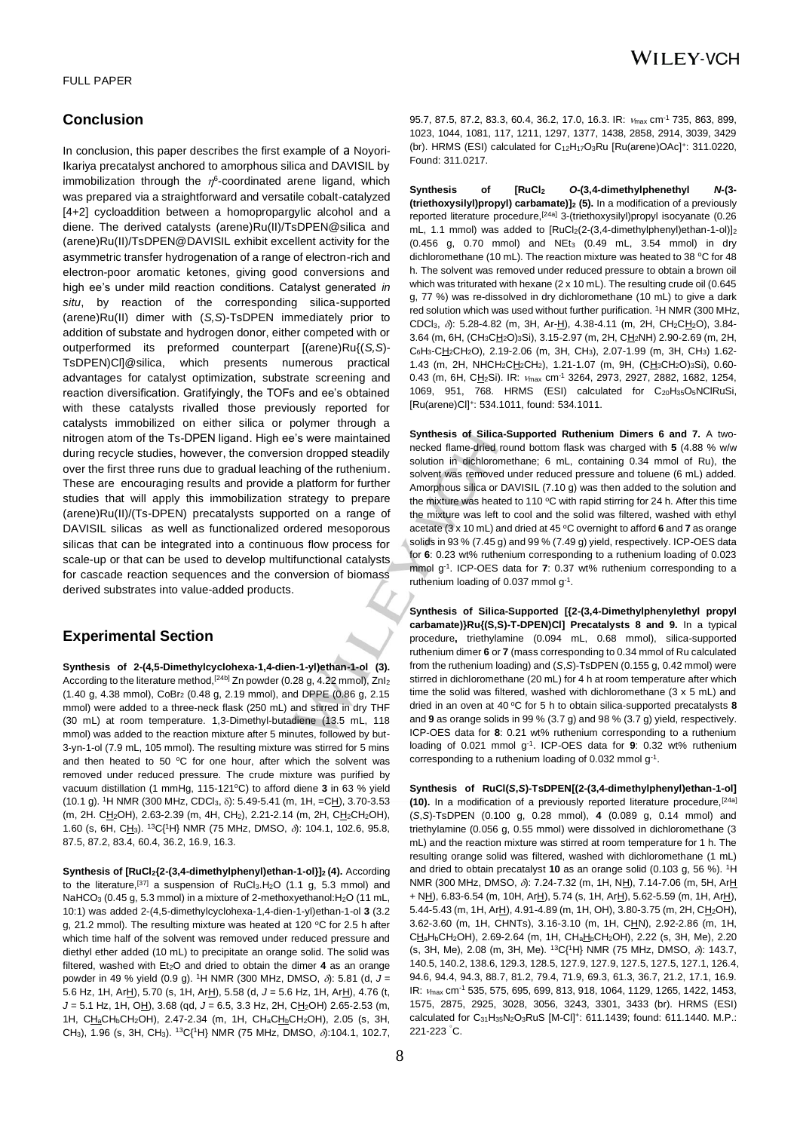### **Conclusion**

In conclusion, this paper describes the first example of a Noyori-Ikariya precatalyst anchored to amorphous silica and DAVISIL by immobilization through the  $\eta^6$ -coordinated arene ligand, which was prepared via a straightforward and versatile cobalt-catalyzed [4+2] cycloaddition between a homopropargylic alcohol and a diene. The derived catalysts (arene)Ru(II)/TsDPEN@silica and (arene)Ru(II)/TsDPEN@DAVISIL exhibit excellent activity for the asymmetric transfer hydrogenation of a range of electron-rich and electron-poor aromatic ketones, giving good conversions and high ee's under mild reaction conditions. Catalyst generated *in situ*, by reaction of the corresponding silica-supported (arene)Ru(II) dimer with (*S,S*)-TsDPEN immediately prior to addition of substate and hydrogen donor, either competed with or outperformed its preformed counterpart [(arene)Ru{(*S,S*)- TsDPEN)Cl]@silica, which presents numerous practical advantages for catalyst optimization, substrate screening and reaction diversification. Gratifyingly, the TOFs and ee's obtained with these catalysts rivalled those previously reported for catalysts immobilized on either silica or polymer through a nitrogen atom of the Ts-DPEN ligand. High ee's were maintained during recycle studies, however, the conversion dropped steadily over the first three runs due to gradual leaching of the ruthenium. These are encouraging results and provide a platform for further studies that will apply this immobilization strategy to prepare (arene)Ru(II)/(Ts-DPEN) precatalysts supported on a range of DAVISIL silicas as well as functionalized ordered mesoporous silicas that can be integrated into a continuous flow process for scale-up or that can be used to develop multifunctional catalysts for cascade reaction sequences and the conversion of biomass derived substrates into value-added products.

## **Experimental Section**

**Synthesis of 2-(4,5-Dimethylcyclohexa-1,4-dien-1-yl)ethan-1-ol (3).**  According to the literature method, [24b] Zn powder (0.28 g, 4.22 mmol), Znl<sub>2</sub> (1.40 g, 4.38 mmol), CoBr<sub>2</sub> (0.48 g, 2.19 mmol), and DPPE (0.86 g, 2.15 mmol) were added to a three-neck flask (250 mL) and stirred in dry THF (30 mL) at room temperature. 1,3-Dimethyl-butadiene (13.5 mL, 118 mmol) was added to the reaction mixture after 5 minutes, followed by but-3-yn-1-ol (7.9 mL, 105 mmol). The resulting mixture was stirred for 5 mins and then heated to 50  $\mathrm{^{\circ}C}$  for one hour, after which the solvent was removed under reduced pressure. The crude mixture was purified by vacuum distillation (1 mmHg, 115-121<sup>o</sup>C) to afford diene 3 in 63 % yield (10.1 g). <sup>1</sup>H NMR (300 MHz, CDCl<sub>3</sub>,  $\delta$ ): 5.49-5.41 (m, 1H, =CH), 3.70-3.53 (m, 2H. CH<sub>2</sub>OH), 2.63-2.39 (m, 4H, CH<sub>2</sub>), 2.21-2.14 (m, 2H, CH<sub>2</sub>CH<sub>2</sub>OH), 1.60 (s, 6H, CH<sub>3</sub>). <sup>13</sup>C{<sup>1</sup>H} NMR (75 MHz, DMSO,  $\delta$ ): 104.1, 102.6, 95.8, 87.5, 87.2, 83.4, 60.4, 36.2, 16.9, 16.3.

**Synthesis of [RuCl2{2-(3,4-dimethylphenyl)ethan-1-ol}]2 (4).** According to the literature,  $[37]$  a suspension of RuCl<sub>3</sub>.H<sub>2</sub>O (1.1 g, 5.3 mmol) and NaHCO<sub>3</sub> (0.45 g, 5.3 mmol) in a mixture of 2-methoxyethanol: H<sub>2</sub>O (11 mL, 10:1) was added 2-(4,5-dimethylcyclohexa-1,4-dien-1-yl)ethan-1-ol **3** (3.2 g, 21.2 mmol). The resulting mixture was heated at 120 °C for 2.5 h after which time half of the solvent was removed under reduced pressure and diethyl ether added (10 mL) to precipitate an orange solid. The solid was filtered, washed with  $Et<sub>2</sub>O$  and dried to obtain the dimer 4 as an orange powder in 49 % yield (0.9 g). <sup>1</sup>H NMR (300 MHz, DMSO,  $\delta$ ): 5.81 (d, J = 5.6 Hz, 1H, ArH), 5.70 (s, 1H, ArH), 5.58 (d, J = 5.6 Hz, 1H, ArH), 4.76 (t, *J* = 5.1 Hz, 1H, OH), 3.68 (qd, *J* = 6.5, 3.3 Hz, 2H, CH<sub>2</sub>OH) 2.65-2.53 (m, 1H, CH<sub>a</sub>CH<sub>b</sub>CH<sub>2</sub>OH), 2.47-2.34 (m, 1H, CH<sub>a</sub>CH<sub>2</sub>CH<sub>2</sub>OH), 2.05 (s, 3H, CH<sub>3</sub>), 1.96 (s, 3H, CH<sub>3</sub>). <sup>13</sup>C{<sup>1</sup>H} NMR (75 MHz, DMSO,  $\delta$ ):104.1, 102.7, 95.7, 87.5, 87.2, 83.3, 60.4, 36.2, 17.0, 16.3. IR:  $v_{\text{max}}$  cm<sup>-1</sup> 735, 863, 899, 1023, 1044, 1081, 117, 1211, 1297, 1377, 1438, 2858, 2914, 3039, 3429 (br). HRMS (ESI) calculated for  $C_{12}H_{17}O_3Ru$  [Ru(arene)OAc]<sup>+</sup>: 311.0220, Found: 311.0217.

**Synthesis of [RuCl<sup>2</sup>** *O***-(3,4-dimethylphenethyl** *N***-(3- (triethoxysilyl)propyl) carbamate)]<sup>2</sup> (5).** In a modification of a previously reported literature procedure,[24a] 3-(triethoxysilyl)propyl isocyanate (0.26 mL, 1.1 mmol) was added to  $[RuCl<sub>2</sub>(2-(3,4-dimethylphenyl)ethan-1-ol)]<sub>2</sub>$  $(0.456 \text{ g}, 0.70 \text{ mmol})$  and NEt<sub>3</sub>  $(0.49 \text{ mL}, 3.54 \text{ mmol})$  in dry dichloromethane (10 mL). The reaction mixture was heated to 38 °C for 48 h. The solvent was removed under reduced pressure to obtain a brown oil which was triturated with hexane (2 x 10 mL). The resulting crude oil (0.645 g, 77 %) was re-dissolved in dry dichloromethane (10 mL) to give a dark red solution which was used without further purification. <sup>1</sup>H NMR (300 MHz, CDCl<sub>3</sub>,  $\delta$ : 5.28-4.82 (m, 3H, Ar-H), 4.38-4.11 (m, 2H, CH<sub>2</sub>CH<sub>2</sub>O), 3.84-3.64 (m, 6H, (CH<sub>3</sub>CH<sub>2</sub>O)<sub>3</sub>Si), 3.15-2.97 (m, 2H, CH<sub>2</sub>NH) 2.90-2.69 (m, 2H, C6H3-CH2CH2O), 2.19-2.06 (m, 3H, CH3), 2.07-1.99 (m, 3H, CH3) 1.62- 1.43 (m, 2H, NHCH<sub>2</sub>CH<sub>2</sub>CH<sub>2</sub>), 1.21-1.07 (m, 9H, (CH<sub>3</sub>CH<sub>2</sub>O)<sub>3</sub>Si), 0.60-0.43 (m, 6H, CH<sub>2</sub>Si). IR: v<sub>max</sub> cm<sup>-1</sup> 3264, 2973, 2927, 2882, 1682, 1254, 1069, 951, 768. HRMS (ESI) calculated for C<sub>20</sub>H<sub>35</sub>O<sub>5</sub>NClRuSi, [Ru(arene)Cl]<sup>+</sup> : 534.1011, found: 534.1011.

**Synthesis of Silica-Supported Ruthenium Dimers 6 and 7.** A twonecked flame-dried round bottom flask was charged with **5** (4.88 % w/w solution in dichloromethane; 6 mL, containing 0.34 mmol of Ru), the solvent was removed under reduced pressure and toluene (6 mL) added. Amorphous silica or DAVISIL (7.10 g) was then added to the solution and the mixture was heated to 110  $\degree$ C with rapid stirring for 24 h. After this time the mixture was left to cool and the solid was filtered, washed with ethyl acetate (3 x 10 mL) and dried at 45 <sup>o</sup>C overnight to afford **6** and **7** as orange solids in 93 % (7.45 g) and 99 % (7.49 g) yield, respectively. ICP-OES data for **6**: 0.23 wt% ruthenium corresponding to a ruthenium loading of 0.023 mmol g-1 . ICP-OES data for **7**: 0.37 wt% ruthenium corresponding to a ruthenium loading of 0.037 mmol g<sup>-1</sup>.

**Synthesis of Silica-Supported [{2-(3,4-Dimethylphenylethyl propyl carbamate)}Ru{(S,S)-T-DPEN)Cl] Precatalysts 8 and 9.** In a typical procedure**,** triethylamine (0.094 mL, 0.68 mmol), silica-supported ruthenium dimer **6** or **7** (mass corresponding to 0.34 mmol of Ru calculated from the ruthenium loading) and (*S*,*S*)-TsDPEN (0.155 g, 0.42 mmol) were stirred in dichloromethane (20 mL) for 4 h at room temperature after which time the solid was filtered, washed with dichloromethane (3 x 5 mL) and dried in an oven at 40 °C for 5 h to obtain silica-supported precatalysts 8 and **9** as orange solids in 99 % (3.7 g) and 98 % (3.7 g) yield, respectively. ICP-OES data for **8**: 0.21 wt% ruthenium corresponding to a ruthenium loading of 0.021 mmol g-1 . ICP-OES data for **9**: 0.32 wt% ruthenium corresponding to a ruthenium loading of 0.032 mmol g<sup>-1</sup>.

**Synthesis of RuCl(***S***,***S***)-TsDPEN[(2-(3,4-dimethylphenyl)ethan-1-ol] (10).** In a modification of a previously reported literature procedure,[24a] (*S*,*S*)-TsDPEN (0.100 g, 0.28 mmol), **4** (0.089 g, 0.14 mmol) and triethylamine (0.056 g, 0.55 mmol) were dissolved in dichloromethane (3 mL) and the reaction mixture was stirred at room temperature for 1 h. The resulting orange solid was filtered, washed with dichloromethane (1 mL) and dried to obtain precatalyst 10 as an orange solid (0.103 g, 56 %). <sup>1</sup>H NMR (300 MHz, DMSO,  $\delta$ ): 7.24-7.32 (m, 1H, NH), 7.14-7.06 (m, 5H, ArH  $+ NH$ ), 6.83-6.54 (m, 10H, Ar $H$ ), 5.74 (s, 1H, Ar $H$ ), 5.62-5.59 (m, 1H, Ar $H$ ), 5.44-5.43 (m, 1H, ArH), 4.91-4.89 (m, 1H, OH), 3.80-3.75 (m, 2H, CH<sub>2</sub>OH), 3.62-3.60 (m, 1H, CHNTs), 3.16-3.10 (m, 1H, CHN), 2.92-2.86 (m, 1H, CH<sub>a</sub>H<sub>b</sub>CH<sub>2</sub>OH), 2.69-2.64 (m, 1H, CH<sub>a</sub>H<sub>b</sub>CH<sub>2</sub>OH), 2.22 (s, 3H, Me), 2.20 (s, 3H, Me), 2.08 (m, 3H, Me).  ${}^{13}C_1{}^{1}H$ } NMR (75 MHz, DMSO,  $\delta$ ): 143.7, 140.5, 140.2, 138.6, 129.3, 128.5, 127.9, 127.9, 127.5, 127.5, 127.1, 126.4, 94.6, 94.4, 94.3, 88.7, 81.2, 79.4, 71.9, 69.3, 61.3, 36.7, 21.2, 17.1, 16.9. IR: max cm-1 535, 575, 695, 699, 813, 918, 1064, 1129, 1265, 1422, 1453, 1575, 2875, 2925, 3028, 3056, 3243, 3301, 3433 (br). HRMS (ESI) calculated for C<sub>31</sub>H<sub>35</sub>N<sub>2</sub>O<sub>3</sub>RuS [M-Cl]<sup>+</sup>: 611.1439; found: 611.1440. M.P.: 221-223 <sup>º</sup>C.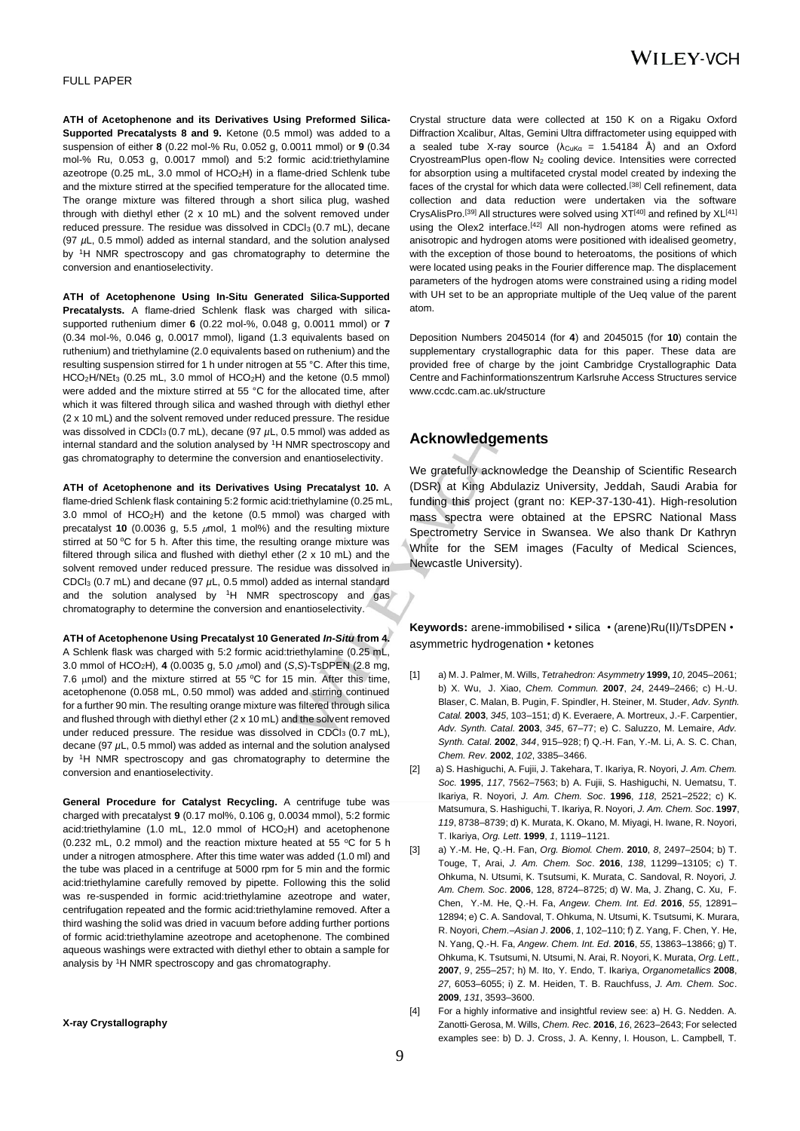#### FULL PAPER

**ATH of Acetophenone and its Derivatives Using Preformed Silica-Supported Precatalysts 8 and 9.** Ketone (0.5 mmol) was added to a suspension of either **8** (0.22 mol-% Ru, 0.052 g, 0.0011 mmol) or **9** (0.34 mol-% Ru, 0.053 g, 0.0017 mmol) and 5:2 formic acid:triethylamine azeotrope (0.25 mL, 3.0 mmol of HCO2H) in a flame-dried Schlenk tube and the mixture stirred at the specified temperature for the allocated time. The orange mixture was filtered through a short silica plug, washed through with diethyl ether (2 x 10 mL) and the solvent removed under reduced pressure. The residue was dissolved in CDCl3 (0.7 mL), decane (97 *µ*L, 0.5 mmol) added as internal standard, and the solution analysed by <sup>1</sup>H NMR spectroscopy and gas chromatography to determine the conversion and enantioselectivity.

**ATH of Acetophenone Using In-Situ Generated Silica-Supported Precatalysts.** A flame-dried Schlenk flask was charged with silicasupported ruthenium dimer **6** (0.22 mol-%, 0.048 g, 0.0011 mmol) or **7** (0.34 mol-%, 0.046 g, 0.0017 mmol), ligand (1.3 equivalents based on ruthenium) and triethylamine (2.0 equivalents based on ruthenium) and the resulting suspension stirred for 1 h under nitrogen at 55 °C. After this time,  $HCO<sub>2</sub>H/NEt<sub>3</sub>$  (0.25 mL, 3.0 mmol of  $HCO<sub>2</sub>H$ ) and the ketone (0.5 mmol) were added and the mixture stirred at 55 °C for the allocated time, after which it was filtered through silica and washed through with diethyl ether (2 x 10 mL) and the solvent removed under reduced pressure. The residue was dissolved in CDCl<sub>3</sub> (0.7 mL), decane (97  $\mu$ L, 0.5 mmol) was added as internal standard and the solution analysed by <sup>1</sup>H NMR spectroscopy and gas chromatography to determine the conversion and enantioselectivity.

**ATH of Acetophenone and its Derivatives Using Precatalyst 10.** A flame-dried Schlenk flask containing 5:2 formic acid:triethylamine (0.25 mL, 3.0 mmol of HCO2H) and the ketone (0.5 mmol) was charged with precatalyst **10** (0.0036 g, 5.5  $\mu$ mol, 1 mol%) and the resulting mixture stirred at 50 °C for 5 h. After this time, the resulting orange mixture was filtered through silica and flushed with diethyl ether (2 x 10 mL) and the solvent removed under reduced pressure. The residue was dissolved in CDCl<sup>3</sup> (0.7 mL) and decane (97 *µ*L, 0.5 mmol) added as internal standard and the solution analysed by <sup>1</sup>H NMR spectroscopy and gas chromatography to determine the conversion and enantioselectivity.

**ATH of Acetophenone Using Precatalyst 10 Generated** *In-Situ* **from 4.**  A Schlenk flask was charged with 5:2 formic acid:triethylamine (0.25 mL, 3.0 mmol of HCO<sub>2</sub>H), 4 (0.0035 g, 5.0  $\mu$ mol) and (*S*, *S*)-TsDPEN (2.8 mg, 7.6  $\mu$ mol) and the mixture stirred at 55 °C for 15 min. After this time, acetophenone (0.058 mL, 0.50 mmol) was added and stirring continued for a further 90 min. The resulting orange mixture was filtered through silica and flushed through with diethyl ether (2 x 10 mL) and the solvent removed under reduced pressure. The residue was dissolved in CDCl<sub>3</sub> (0.7 mL), decane (97 *µ*L, 0.5 mmol) was added as internal and the solution analysed by <sup>1</sup>H NMR spectroscopy and gas chromatography to determine the conversion and enantioselectivity.

**General Procedure for Catalyst Recycling.** A centrifuge tube was charged with precatalyst **9** (0.17 mol%, 0.106 g, 0.0034 mmol), 5:2 formic acid:triethylamine (1.0 mL, 12.0 mmol of HCO2H) and acetophenone (0.232 mL, 0.2 mmol) and the reaction mixture heated at 55  $\degree$ C for 5 h under a nitrogen atmosphere. After this time water was added (1.0 ml) and the tube was placed in a centrifuge at 5000 rpm for 5 min and the formic acid:triethylamine carefully removed by pipette. Following this the solid was re-suspended in formic acid:triethylamine azeotrope and water, centrifugation repeated and the formic acid:triethylamine removed. After a third washing the solid was dried in vacuum before adding further portions of formic acid:triethylamine azeotrope and acetophenone. The combined aqueous washings were extracted with diethyl ether to obtain a sample for analysis by <sup>1</sup>H NMR spectroscopy and gas chromatography.

#### **X-ray Crystallography**

Crystal structure data were collected at 150 K on a Rigaku Oxford Diffraction Xcalibur, Altas, Gemini Ultra diffractometer using equipped with a sealed tube X-ray source  $(\lambda_{\text{CuKa}} = 1.54184 \text{ Å})$  and an Oxford CryostreamPlus open-flow N<sup>2</sup> cooling device. Intensities were corrected for absorption using a multifaceted crystal model created by indexing the faces of the crystal for which data were collected.[38] Cell refinement, data collection and data reduction were undertaken via the software CrysAlisPro.<sup>[39]</sup> All structures were solved using XT<sup>[40]</sup> and refined by XL<sup>[41]</sup> using the Olex2 interface.<sup>[42]</sup> All non-hydrogen atoms were refined as anisotropic and hydrogen atoms were positioned with idealised geometry, with the exception of those bound to heteroatoms, the positions of which were located using peaks in the Fourier difference map. The displacement parameters of the hydrogen atoms were constrained using a riding model with UH set to be an appropriate multiple of the Ueq value of the parent atom.

Deposition Numbers 2045014 (for **4**) and 2045015 (for **10**) contain the supplementary crystallographic data for this paper. These data are provided free of charge by the joint Cambridge Crystallographic Data Centre and Fachinformationszentrum Karlsruhe Access Structures service www.ccdc.cam.ac.uk/structure

### **Acknowledgements**

We gratefully acknowledge the Deanship of Scientific Research (DSR) at King Abdulaziz University, Jeddah, Saudi Arabia for funding this project (grant no: KEP-37-130-41). High-resolution mass spectra were obtained at the EPSRC National Mass Spectrometry Service in Swansea. We also thank Dr Kathryn White for the SEM images (Faculty of Medical Sciences, Newcastle University).

**Keywords:** arene-immobilised • silica • (arene)Ru(II)/TsDPEN • asymmetric hydrogenation • ketones

- [1] a) M. J. Palmer, M. Wills, *Tetrahedron: Asymmetry* **1999,** *10,* 2045–2061; b) [X. Wu,](https://pubs.rsc.org/en/results?searchtext=Author%3AXiaofeng%20Wu) [J. Xiao,](https://pubs.rsc.org/en/results?searchtext=Author%3AJianliang%20Xiao) *Chem. Commun.* **2007**, *24*, 2449–2466; c) H.‐U. Blaser, C. Malan, B. Pugin, F. Spindler, H. Steiner, M. Studer, *Adv. Synth. Catal.* **2003**, *345*, 103–151; d) K. Everaere, A. Mortreux, J.‐F. Carpentier, *Adv. Synth. Catal*. **2003**, *345*, 67–77; e) C. Saluzzo, M. Lemaire, *Adv. Synth. Catal*. **2002**, *344*, 915–928; f) Q.-H. Fan, Y.-M. Li, A. S. C. Chan, *Chem. Rev.* **2002**, *102*, 3385–3466.
- [2] a) S. Hashiguchi, A. Fujii, J. Takehara, T. Ikariya, R. Noyori, *J. Am. Chem. Soc.* **1995**, *117*, 7562–7563; b) A. Fujii, S. Hashiguchi, N. Uematsu, T. Ikariya, R. Noyori, *J. Am. Chem. Soc*. **1996**, *118*, 2521–2522; c) K. Matsumura, S. Hashiguchi, T. Ikariya, R. Noyori, *J. Am. Chem. Soc*. **1997**, *119*, 8738–8739; d) K. Murata, K. Okano, M. Miyagi, H. Iwane, R. Noyori, T. Ikariya, *Org. Lett*. **1999**, *1*, 1119–1121.
- [3] a) Y.-M. He, Q.-H. Fan, *Org. Biomol. Chem*. **2010**, *8*, 2497–2504; b) T. Touge, T, Arai, *J. Am. Chem. Soc*. **2016**, *138*, 11299–13105; c) T. Ohkuma, N. Utsumi, K. Tsutsumi, K. Murata, C. Sandoval, R. Noyori*, J. Am. Chem. Soc*. **2006**, 128, 8724–8725; d) W. Ma, J. Zhang, C. Xu, F. Chen, Y.‐M. He, Q.‐H. Fa, *Angew. Chem. Int. Ed*. **2016**, *55*, 12891– 12894; e) C. A. Sandoval, T. Ohkuma, N. Utsumi, K. Tsutsumi, K. Murara, R. Noyori, *Chem.–Asian J*. **2006**, *1*, 102–110; f) Z. Yang, F. Chen, Y. He, N. Yang, Q.‐H. Fa, *Angew. Chem. Int. Ed*. **2016**, *55*, 13863–13866; g) T. Ohkuma, K. Tsutsumi, N. Utsumi, N. Arai, R. Noyori, K. Murata, *Org. Lett.,* **2007**, *9*, 255–257; h) M. Ito, Y. Endo, T. Ikariya, *Organometallics* **2008**, *27*, 6053–6055; i) Z. M. Heiden, T. B. Rauchfuss, *J. Am. Chem. Soc*. **2009**, *131*, 3593–3600.
- [4] For a highly informative and insightful review see: a) H. G. Nedden. A. Zanotti‐Gerosa, M. Wills, *Chem. Rec.* **2016**, *16*, 2623–2643; For selected examples see: b) D. J. Cross, J. A. Kenny, I. Houson, L. Campbell, T.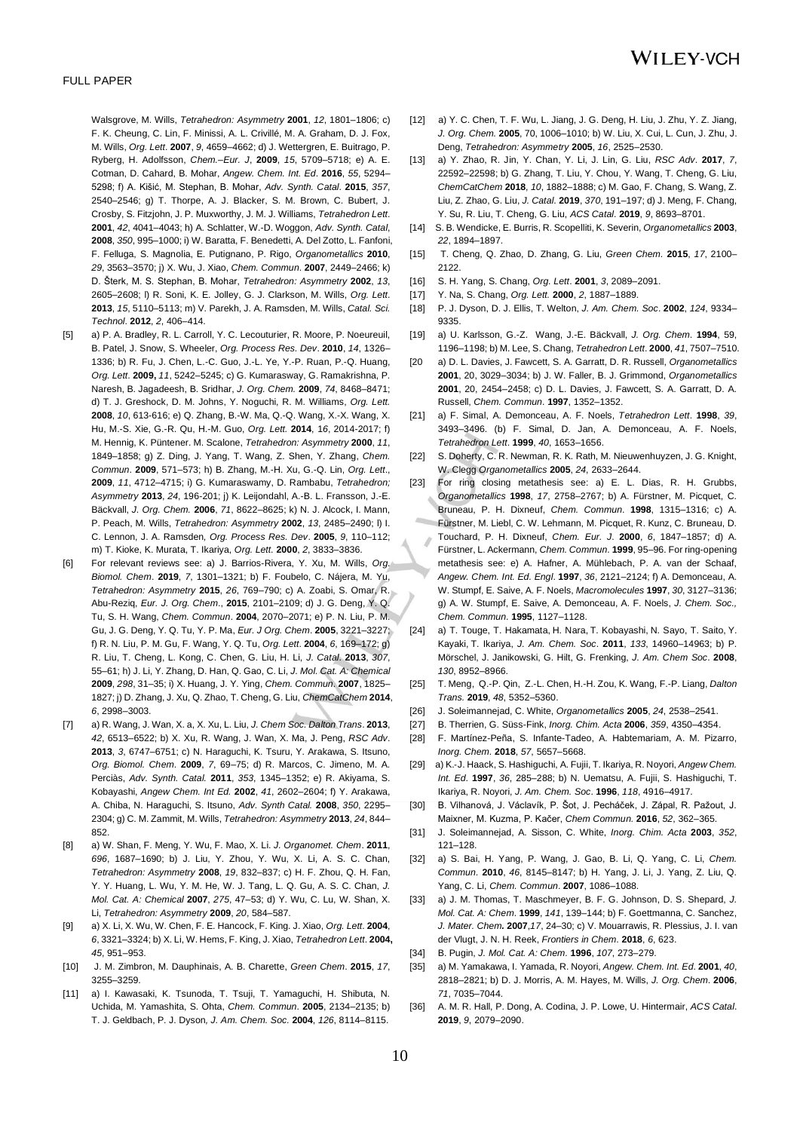Walsgrove, M. Wills, *Tetrahedron: Asymmetry* **2001**, *12*, 1801–1806; c) F. K. Cheung, C. Lin, F. Minissi, A. L. Crivillé, M. A. Graham, D. J. Fox, M. Wills, *Org. Lett*. **2007**, *9*, 4659–4662; d) J. Wettergren, E. Buitrago, P. Ryberg, H. Adolfsson, *Chem.–Eur. J*, **2009**, *15*, 5709–5718; e) A. E. Cotman, D. Cahard, B. Mohar, *Angew. Chem. Int. Ed*. **2016**, *55*, 5294– 5298; f) A. Kišić, M. Stephan, B. Mohar, *Adv. Synth. Catal*. **2015**, *357*, 2540–2546; g) T. Thorpe, A. J. Blacker, S. M. Brown, C. Bubert, J. Crosby, S. Fitzjohn, J. P. Muxworthy, J. M. J. Williams, *Tetrahedron Lett*. **2001**, *42*, 4041–4043; h) A. Schlatter, W.-D. Woggon, *Adv. Synth. Catal*, **2008**, *350*, 995–1000; i) W. Baratta, F. Benedetti, A. Del Zotto, L. Fanfoni, F. Felluga, S. Magnolia, E. Putignano, P. Rigo, *Organometallics* **2010**, *29*, 3563–3570; j) X. Wu, J. Xiao, *Chem. Commun*. **2007**, 2449–2466; k) D. Šterk, M. S. Stephan, B. Mohar, *Tetrahedron: Asymmetry* **2002**, *13*, 2605–2608; l) R. Soni, K. E. Jolley, G. J. Clarkson, M. Wills, *Org. Lett*. **2013**, *15*, 5110–5113; m) V. Parekh, J. A. Ramsden, M. Wills, *Catal. Sci. Technol*. **2012**, *2*, 406–414.

- [5] a) P. A. Bradley, R. L. Carroll, Y. C. Lecouturier, R. Moore, P. Noeureuil, B. Patel, J. Snow, S. Wheeler, *Org. Process Res. Dev*. **2010**, *14*, 1326– 1336; b) R. Fu, J. Chen, L.-C. Guo, J.-L. Ye, Y.-P. Ruan, P.-Q. Huang, *Org. Lett*. **2009,** *11*, 5242–5245; c) G. Kumarasway, G. Ramakrishna, P. Naresh, B. Jagadeesh, B. Sridhar, *J. Org. Chem.* **2009**, *74*, 8468–8471; d) T. J. Greshock, D. M. Johns, Y. Noguchi, R. M. Williams, *Org. Lett.* **2008**, *10*, 613-616; e) Q. Zhang, B.-W. Ma, Q.-Q. Wang, X.-X. Wang, X. Hu, M.-S. Xie, G.-R. Qu, H.-M. Guo, *Org. Lett.* **2014**, 1*6*, 2014-2017; f) M. Hennig, K. Püntener. M. Scalone, *Tetrahedron: Asymmetry* **2000**, *11*, 1849–1858; g) Z. Ding, J. Yang, T. Wang, Z. Shen, Y. Zhang, *Chem. Commun*. **2009**, 571–573; h) B. Zhang, M.-H. Xu, G.-Q. Lin, *Org. Lett*., **2009**, *11*, 4712–4715; i) G. Kumaraswamy, D. Rambabu, *Tetrahedron; Asymmetry* **2013**, *24*, 196-201; j) K. Leijondahl, A.-B. L. Fransson, J.-E. Bäckvall, *J. Org. Chem.* **2006**, *71*, 8622–8625; k) N. J. Alcock, I. Mann, P. Peach, M. Wills, *Tetrahedron: Asymmetry* **2002**, *13*, 2485–2490; l) I. C. Lennon, J. A. Ramsden*, Org. Process Res. Dev*. **2005**, *9*, 110–112; m) T. Kioke, K. Murata, T. Ikariya, *Org. Lett.* **2000**, *2*, 3833–3836.
- [6] For relevant reviews see: a) J. Barrios-Rivera, Y. Xu, M. Wills, *Org. Biomol. Chem*. **2019**, *7*, 1301–1321; b) F. Foubelo, C. Nájera, M. Yu, *Tetrahedron: Asymmetry* **2015**, *26*, 769–790; c) A. Zoabi, S. Omar, R. Abu-Reziq, *Eur. J. Org. Chem*., **2015**, 2101–2109; d) J. G. Deng, Y. Q. Tu, S. H. Wang, *Chem. Commun*. **2004**, 2070–2071; e) P. N. Liu, P. M. Gu, J. G. Deng, Y. Q. Tu, Y. P. Ma, *Eur. J Org. Chem*. **2005**, 3221–3227; f) R. N. Liu, P. M. Gu, F. Wang, Y. Q. Tu, *Org. Lett*. **2004**, *6*, 169–172; g) R. Liu, T. Cheng, L. Kong, C. Chen, G. Liu, H. Li, *J. Catal*. **2013**, *307*, 55–61; h) J. Li, Y. Zhang, D. Han, Q. Gao, C. Li, *J. Mol. Cat. A: Chemical* **2009**, *298*, 31–35; i) X. Huang, J. Y. Ying, *Chem. Commun*. **2007**, 1825– 1827; j) D. Zhang, J. Xu, Q. Zhao, T. Cheng, G. Liu, *ChemCatChem* **2014**, *6*, 2998–3003.
- [7] a) R. Wang, J. Wan, X. a, X. Xu, L. Liu, *J. Chem Soc. Dalton Trans*. **2013**, *42*, 6513–6522; b) X. Xu, R. Wang, J. Wan, X. Ma, J. Peng, *RSC Adv*. **2013**, *3*, 6747–6751; c) N. Haraguchi, K. Tsuru, Y. Arakawa, S. Itsuno, *Org. Biomol. Chem*. **2009**, *7*, 69–75; d) R. Marcos, C. Jimeno, M. A. Perciàs, *Adv. Synth. Catal.* **2011**, *353*, 1345–1352; e) R. Akiyama, S. Kobayashi, *Angew Chem. Int Ed.* **2002**, *41*, 2602–2604; f) Y. Arakawa, A. Chiba, N. Haraguchi, S. Itsuno, *Adv. Synth Catal.* **2008**, *350*, 2295– 2304; g) C. M. Zammit, M. Wills, *Tetrahedron: Asymmetry* **2013**, *24*, 844– 852.
- [8] a) W. Shan, F. Meng, Y. Wu, F. Mao, X. Li. *J. Organomet. Chem*. **2011**, *696*, 1687–1690; b) J. Liu, Y. Zhou, Y. Wu, X. Li, A. S. C. Chan, *Tetrahedron: Asymmetry* **2008**, *19*, 832–837; c) H. F. Zhou, Q. H. Fan, Y. Y. Huang, L. Wu, Y. M. He, W. J. Tang, L. Q. Gu, A. S. C. Chan, *J. Mol. Cat. A: Chemical* **2007**, *275*, 47–53; d) Y. Wu, C. Lu, W. Shan, X. Li, *Tetrahedron: Asymmetry* **2009**, *20*, 584–587.
- [9] a) X. Li, X. Wu, W. Chen, F. E. Hancock, F. King. J. Xiao, *Org. Lett*. **2004**, *6*, 3321–3324; b) X. Li, W. Hems, F. King, J. Xiao, *Tetrahedron Lett*. **2004,** *45*, 951–953.
- [10] J. M. Zimbron, M. Dauphinais, A. B. Charette, *Green Chem*. **2015**, *17*, 3255–3259.
- [11] a) I. Kawasaki, K. Tsunoda, T. Tsuji, T. Yamaguchi, H. Shibuta, N. Uchida, M. Yamashita, S. Ohta, *Chem. Commun*. **2005**, 2134–2135; b) T. J. Geldbach, P. J. Dyson*, J. Am. Chem. Soc.* **2004**, *126*, 8114–8115.
- [12] a) Y. C. Chen, T. F. Wu, L. Jiang, J. G. Deng, H. Liu, J. Zhu, Y. Z. Jiang, *J. Org. Chem.* **2005**, 70, 1006–1010; b) W. Liu, X. Cui, L. Cun, J. Zhu, J. Deng, *Tetrahedron: Asymmetry* **2005**, *16*, 2525–2530.
- [13] a) Y. Zhao, R. Jin, Y. Chan, Y. Li, J. Lin, G. Liu, *RSC Adv*. **2017**, *7*, 22592–22598; b) G. Zhang, T. Liu, Y. Chou, Y. Wang, T. Cheng, G. Liu, *ChemCatChem* **2018**, *10*, 1882–1888; c) M. Gao, F. Chang, S. Wang, Z. Liu, Z. Zhao, G. Liu, *J. Catal*. **2019**, *370*, 191–197; d) J. Meng, F. Chang, Y. Su, R. Liu, T. Cheng, G. Liu, *ACS Catal*. **2019**, *9*, 8693–8701.
- [14] S. B. Wendicke, E. Burris, R. Scopelliti, K. Severin, *Organometallics* **2003**, *22*, 1894–1897.
- [15] T. Cheng, Q. Zhao, D. Zhang, G. Liu, *Green Chem.* **2015**, *17*, 2100– 2122.
- [16] S. H. Yang, S. Chang, *Org. Lett*. **2001**, *3*, 2089–2091.
- [17] Y. Na, S. Chang, *Org. Lett.* **2000**, *2*, 1887–1889.
- [18] P. J. Dyson, D. J. Ellis, T. Welton, *J. Am. Chem. Soc*. **2002**, *124*, 9334– 9335.
- [19] a) U. Karlsson, G.-Z. Wang, J.-E. Bäckvall, *J. Org. Chem*. **1994**, 59, 1196–1198; b) M. Lee, S. Chang, *Tetrahedron Lett*. **2000**, *41*, 7507–7510.
- [20 a) D. L. Davies, J. Fawcett, S. A. Garratt, D. R. Russell, *Organometallics* **2001**, 20, 3029–3034; b) J. W. Faller, B. J. Grimmond, *Organometallics* **2001**, 20, 2454–2458; c) D. L. Davies, J. Fawcett, S. A. Garratt, D. A. Russell, *Chem. Commun*. **1997**, 1352–1352.
- [21] a) [F. Simal, A. Demonceau,](https://www.sciencedirect.com/science/article/pii/S004040399800608X#!) [A. F. Noels,](https://www.sciencedirect.com/science/article/pii/S004040399800608X#!) *Tetrahedron Lett*. **1998**, *39*, 3493–3496. (b) F. Simal, D. Jan, A. Demonceau, A. F. Noels, *Tetrahedron Lett*. **1999**, *40*, 1653–1656.
- S. Doherty, C. R. Newman, R. K. Rath, M. Nieuwenhuyzen, J. G. Knight, W. Clegg *Organometallics* **2005**, *24*, 2633–2644.
- [23] For ring closing metathesis see: a) E. L. Dias, R. H. Grubbs, *Organometallics* **1998**, *17*, 2758–2767; b) A. Fürstner, M. Picquet, C. Bruneau, P. H. Dixneuf, *Chem. Commun*. **1998**, 1315–1316; c) A. Fürstner, M. Liebl, C. W. Lehmann, M. Picquet, R. Kunz, C. Bruneau, D. Touchard, P. H. Dixneuf, *Chem. Eur. J*. **2000**, *6*, 1847–1857; d) A. Fürstner, L. Ackermann, *Chem. Commun*. **1999**, 95–96. For ring-opening metathesis see: e) A. Hafner, A. Mühlebach, P. A. van der Schaaf, *Angew. Chem. Int. Ed. Engl*. **1997**, *36*, 2121–2124; f) A. Demonceau, A. W. Stumpf, E. Saive, A. F. Noels, *Macromolecules* **1997**, *30*, 3127–3136; g) A. W. Stumpf, E. Saive, A. Demonceau, A. F. Noels, *J. Chem. Soc., Chem. Commun*. **1995**, 1127–1128.
- [24] a) T. Touge, T. Hakamata, [H. Nara,](https://pubs.acs.org/action/doSearch?field1=Contrib&text1=Hideki++Nara) T. Kobayashi, [N. Sayo,](https://pubs.acs.org/action/doSearch?field1=Contrib&text1=Noboru++Sayo) T. Saito, [Y.](https://pubs.acs.org/action/doSearch?field1=Contrib&text1=Yoshihito++Kayaki)  [Kayaki,](https://pubs.acs.org/action/doSearch?field1=Contrib&text1=Yoshihito++Kayaki) [T. Ikariya,](https://pubs.acs.org/action/doSearch?field1=Contrib&text1=Takao++Ikariya) *J. Am. Chem. Soc*. **2011**, *133*, 14960–14963; b) P. Mörschel, J. Janikowski, G. Hilt, G. Frenking, *J. Am. Chem Soc*. **2008**, *130*, 8952–8966.
- [25] [T. Meng,](https://pubs.rsc.org/cs/results?searchtext=Author%3ATing%20Meng) [Q.-P. Qin,](https://pubs.rsc.org/cs/results?searchtext=Author%3AQi-Pin%20Qin) [Z.-L. Chen,](https://pubs.rsc.org/cs/results?searchtext=Author%3AZi-Lu%20Chen) [H.-H. Zou,](https://pubs.rsc.org/cs/results?searchtext=Author%3AHua-Hong%20Zou) [K. Wang,](https://pubs.rsc.org/cs/results?searchtext=Author%3AKai%20Wang) [F.-P. Liang,](https://pubs.rsc.org/cs/results?searchtext=Author%3AFu-Pei%20Liang) *Dalton Trans.* **2019**, *48*, 5352–5360.
- [26] J. Soleimannejad, C. White, *Organometallics* **2005**, *24*, 2538–2541.
- [27] B. Therrien, G. Süss-Fink, *Inorg. Chim. Acta* **2006**, *359*, 4350–4354.
- [28] F. Martínez-Peña, S. Infante-Tadeo, A. Habtemariam, A. M. Pizarro, *Inorg. Chem.* **2018**, *57*, 5657–5668.
- [29] a) K.‐J. Haack, S. Hashiguchi, A. Fujii, T. Ikariya, R. Noyori, *Angew Chem. Int. Ed*. **1997**, *36*, 285–288; b) N. Uematsu, A. Fujii, S. Hashiguchi, T. Ikariya, R. Noyori, *J. Am. Chem. Soc*. **1996**, *118*, 4916–4917.
- [30] B. Vilhanová, J. Václavík, P. Šot, J. Pecháček, J. Zápal, R. Pažout, J. Maixner, M. Kuzma, P. Kačer, *Chem Commun.* **2016**, *52*, 362–365.
- [31] J. Soleimannejad, A. Sisson, C. White, *Inorg. Chim. Acta* **2003**, *352*, 121–128.
- [32] a) S. Bai, H. Yang, P. Wang, J. Gao, B. Li, Q. Yang, C. Li, *Chem. Commun*. **2010**, *46*, 8145–8147; b) H. Yang, J. Li, J. Yang, Z. Liu, Q. Yang, C. Li, *Chem. Commun*. **2007**, 1086–1088.
- [33] a) J. M. Thomas, T. Maschmeyer, B. F. G. Johnson, D. S. Shepard, *J. Mol. Cat. A: Chem*. **1999**, *141*, 139–144; b) F. Goettmanna, C. Sanchez, *J. Mater. Chem.* **2007**,*17*, 24–30; c) V. Mouarrawis, R. Plessius, J. I. van der Vlugt, J. N. H. Reek, *Frontiers in Chem*. **2018**, *6*, 623.
- [34] B. Pugin, *J. Mol. Cat. A: Chem.* **1996**, *107*, 273–279.
- [35] a) M. Yamakawa, I. Yamada, R. Noyori, *Angew. Chem. Int. Ed*. **2001**, *40*, 2818–2821; b) D. J. Morris, A. M. Hayes, M. Wills, *J. Org. Chem*. **2006**, *71*, 7035–7044.
- [36] A. M. R. Hall, P. Dong, A. Codina, J. P. Lowe, U. Hintermair, *ACS Catal*. **2019**, *9*, 2079–2090.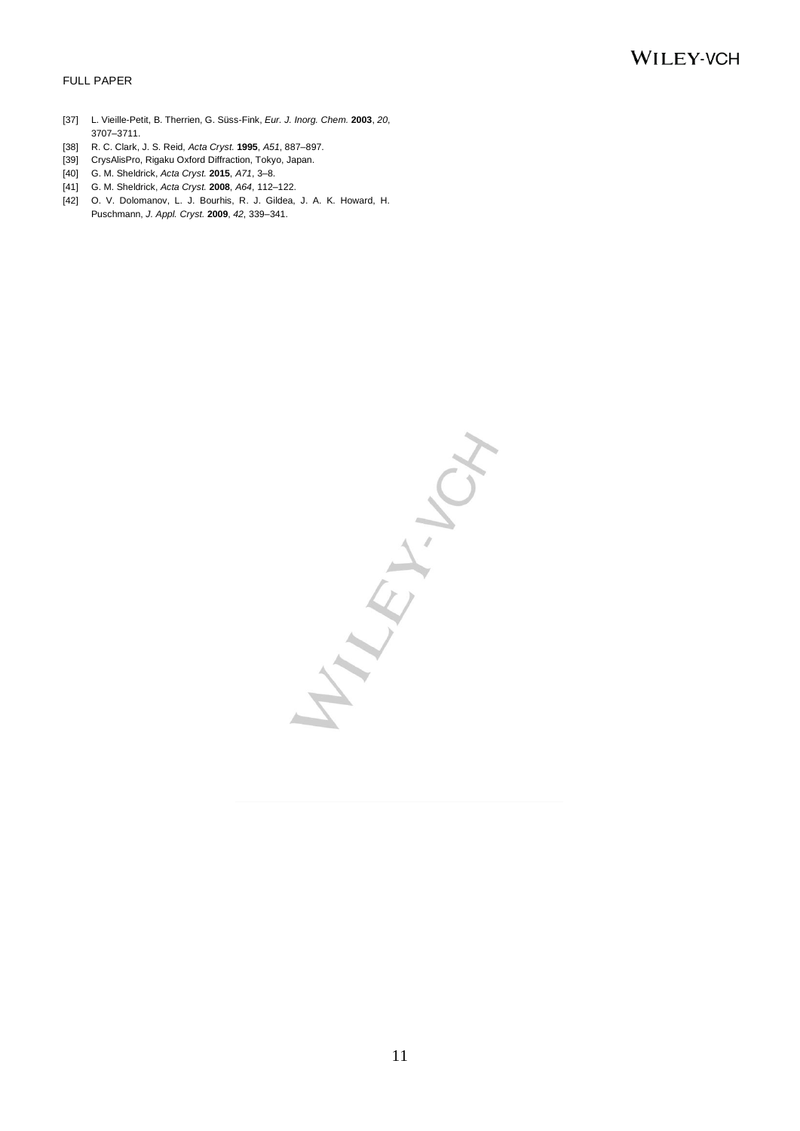#### FULL PAPER

- [37] L. Vieille-Petit, B. Therrien, G. Süss-Fink, *Eur. J. Inorg. Chem.* **2003**, *20*, 3707–3711.
- [38] R. C. Clark, J. S. Reid, *Acta Cryst.* **1995**, *A51*, 887–897.
- [39] CrysAlisPro, Rigaku Oxford Diffraction, Tokyo, Japan.
- [40] G. M. Sheldrick, *Acta Cryst.* **2015**, *A71*, 3–8.
- [41] G. M. Sheldrick, *Acta Cryst.* **2008**, *A64*, 112–122.
- [42] O. V. Dolomanov, L. J. Bourhis, R. J. Gildea, J. A. K. Howard, H. Puschmann, *J. Appl. Cryst.* **2009**, *42*, 339–341.

Arian